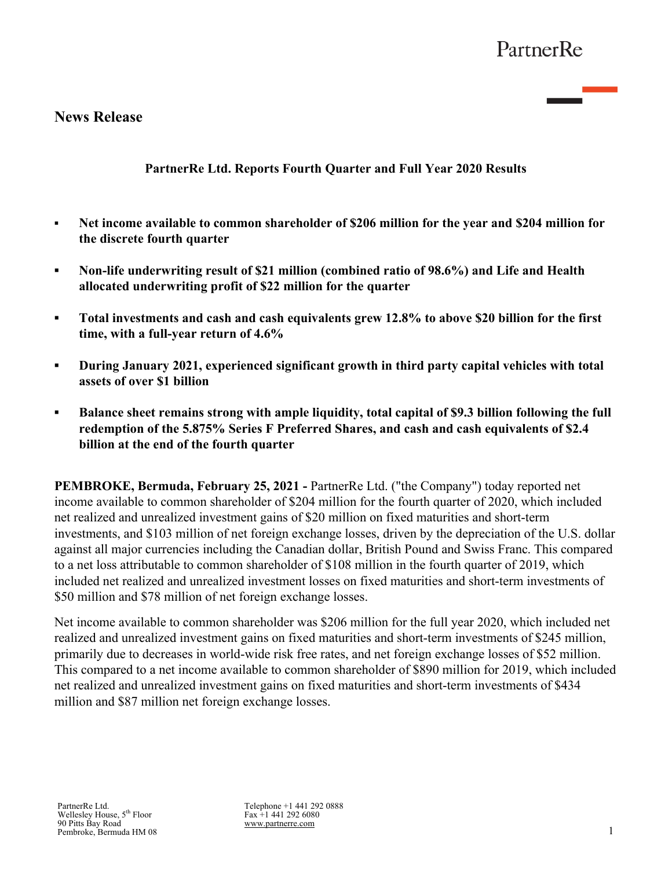## **News Release**

## **PartnerRe Ltd. Reports Fourth Quarter and Full Year 2020 Results**

- **▪ Net income available to common shareholder of \$206 million for the year and \$204 million for the discrete fourth quarter**
- **▪ Non-life underwriting result of \$21 million (combined ratio of 98.6%) and Life and Health allocated underwriting profit of \$22 million for the quarter**
- **▪ Total investments and cash and cash equivalents grew 12.8% to above \$20 billion for the first time, with a full-year return of 4.6%**
- **▪ During January 2021, experienced significant growth in third party capital vehicles with total assets of over \$1 billion**
- *▪* **Balance sheet remains strong with ample liquidity, total capital of \$9.3 billion following the full redemption of the 5.875% Series F Preferred Shares, and cash and cash equivalents of \$2.4 billion at the end of the fourth quarter**

**PEMBROKE, Bermuda, February 25, 2021 -** PartnerRe Ltd. ("the Company") today reported net income available to common shareholder of \$204 million for the fourth quarter of 2020, which included net realized and unrealized investment gains of \$20 million on fixed maturities and short-term investments, and \$103 million of net foreign exchange losses, driven by the depreciation of the U.S. dollar against all major currencies including the Canadian dollar, British Pound and Swiss Franc. This compared to a net loss attributable to common shareholder of \$108 million in the fourth quarter of 2019, which included net realized and unrealized investment losses on fixed maturities and short-term investments of \$50 million and \$78 million of net foreign exchange losses.

Net income available to common shareholder was \$206 million for the full year 2020, which included net realized and unrealized investment gains on fixed maturities and short-term investments of \$245 million, primarily due to decreases in world-wide risk free rates, and net foreign exchange losses of \$52 million. This compared to a net income available to common shareholder of \$890 million for 2019, which included net realized and unrealized investment gains on fixed maturities and short-term investments of \$434 million and \$87 million net foreign exchange losses.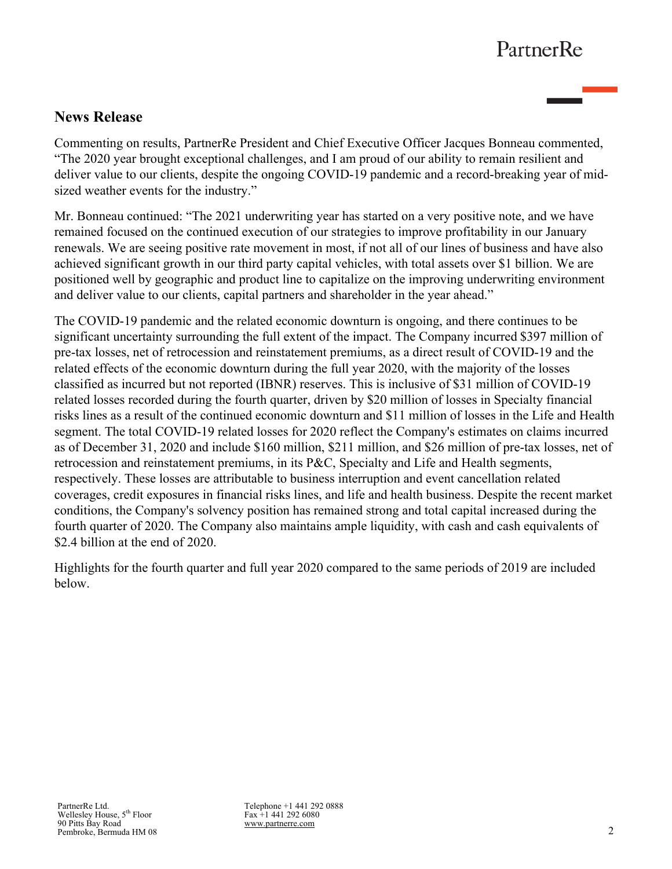# **News Release**

Commenting on results, PartnerRe President and Chief Executive Officer Jacques Bonneau commented, "The 2020 year brought exceptional challenges, and I am proud of our ability to remain resilient and deliver value to our clients, despite the ongoing COVID-19 pandemic and a record-breaking year of midsized weather events for the industry."

Mr. Bonneau continued: "The 2021 underwriting year has started on a very positive note, and we have remained focused on the continued execution of our strategies to improve profitability in our January renewals. We are seeing positive rate movement in most, if not all of our lines of business and have also achieved significant growth in our third party capital vehicles, with total assets over \$1 billion. We are positioned well by geographic and product line to capitalize on the improving underwriting environment and deliver value to our clients, capital partners and shareholder in the year ahead."

The COVID-19 pandemic and the related economic downturn is ongoing, and there continues to be significant uncertainty surrounding the full extent of the impact. The Company incurred \$397 million of pre-tax losses, net of retrocession and reinstatement premiums, as a direct result of COVID-19 and the related effects of the economic downturn during the full year 2020, with the majority of the losses classified as incurred but not reported (IBNR) reserves. This is inclusive of \$31 million of COVID-19 related losses recorded during the fourth quarter, driven by \$20 million of losses in Specialty financial risks lines as a result of the continued economic downturn and \$11 million of losses in the Life and Health segment. The total COVID-19 related losses for 2020 reflect the Company's estimates on claims incurred as of December 31, 2020 and include \$160 million, \$211 million, and \$26 million of pre-tax losses, net of retrocession and reinstatement premiums, in its P&C, Specialty and Life and Health segments, respectively. These losses are attributable to business interruption and event cancellation related coverages, credit exposures in financial risks lines, and life and health business. Despite the recent market conditions, the Company's solvency position has remained strong and total capital increased during the fourth quarter of 2020. The Company also maintains ample liquidity, with cash and cash equivalents of \$2.4 billion at the end of 2020.

Highlights for the fourth quarter and full year 2020 compared to the same periods of 2019 are included below.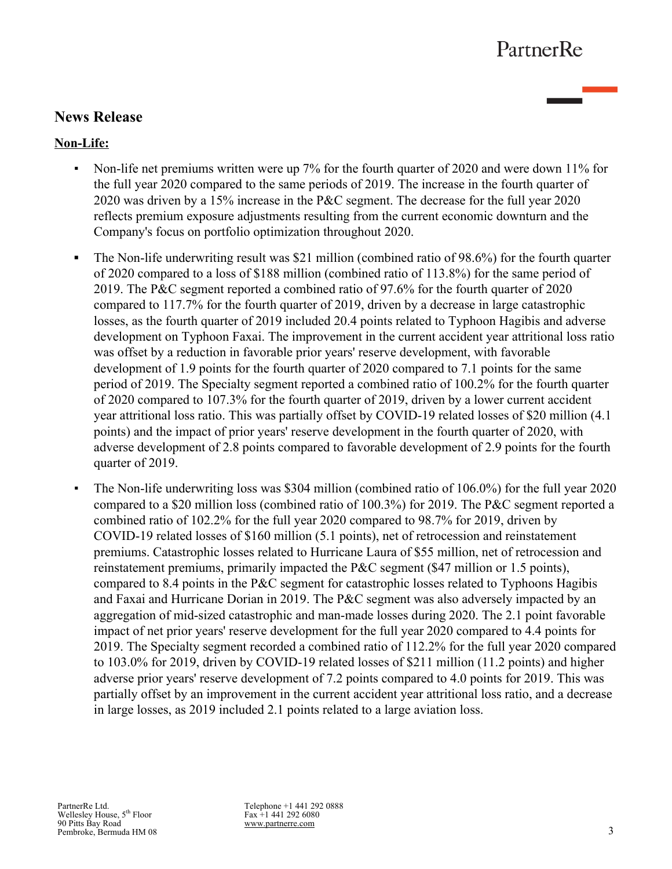# **News Release**

## **Non-Life:**

- Non-life net premiums written were up 7% for the fourth quarter of 2020 and were down 11% for the full year 2020 compared to the same periods of 2019. The increase in the fourth quarter of 2020 was driven by a 15% increase in the P&C segment. The decrease for the full year 2020 reflects premium exposure adjustments resulting from the current economic downturn and the Company's focus on portfolio optimization throughout 2020.
- The Non-life underwriting result was \$21 million (combined ratio of 98.6%) for the fourth quarter of 2020 compared to a loss of \$188 million (combined ratio of 113.8%) for the same period of 2019. The P&C segment reported a combined ratio of 97.6% for the fourth quarter of 2020 compared to 117.7% for the fourth quarter of 2019, driven by a decrease in large catastrophic losses, as the fourth quarter of 2019 included 20.4 points related to Typhoon Hagibis and adverse development on Typhoon Faxai. The improvement in the current accident year attritional loss ratio was offset by a reduction in favorable prior years' reserve development, with favorable development of 1.9 points for the fourth quarter of 2020 compared to 7.1 points for the same period of 2019. The Specialty segment reported a combined ratio of 100.2% for the fourth quarter of 2020 compared to 107.3% for the fourth quarter of 2019, driven by a lower current accident year attritional loss ratio. This was partially offset by COVID-19 related losses of \$20 million (4.1 points) and the impact of prior years' reserve development in the fourth quarter of 2020, with adverse development of 2.8 points compared to favorable development of 2.9 points for the fourth quarter of 2019.
- The Non-life underwriting loss was \$304 million (combined ratio of 106.0%) for the full year 2020 compared to a \$20 million loss (combined ratio of 100.3%) for 2019. The P&C segment reported a combined ratio of 102.2% for the full year 2020 compared to 98.7% for 2019, driven by COVID-19 related losses of \$160 million (5.1 points), net of retrocession and reinstatement premiums. Catastrophic losses related to Hurricane Laura of \$55 million, net of retrocession and reinstatement premiums, primarily impacted the P&C segment (\$47 million or 1.5 points), compared to 8.4 points in the P&C segment for catastrophic losses related to Typhoons Hagibis and Faxai and Hurricane Dorian in 2019. The P&C segment was also adversely impacted by an aggregation of mid-sized catastrophic and man-made losses during 2020. The 2.1 point favorable impact of net prior years' reserve development for the full year 2020 compared to 4.4 points for 2019. The Specialty segment recorded a combined ratio of 112.2% for the full year 2020 compared to 103.0% for 2019, driven by COVID-19 related losses of \$211 million (11.2 points) and higher adverse prior years' reserve development of 7.2 points compared to 4.0 points for 2019. This was partially offset by an improvement in the current accident year attritional loss ratio, and a decrease in large losses, as 2019 included 2.1 points related to a large aviation loss.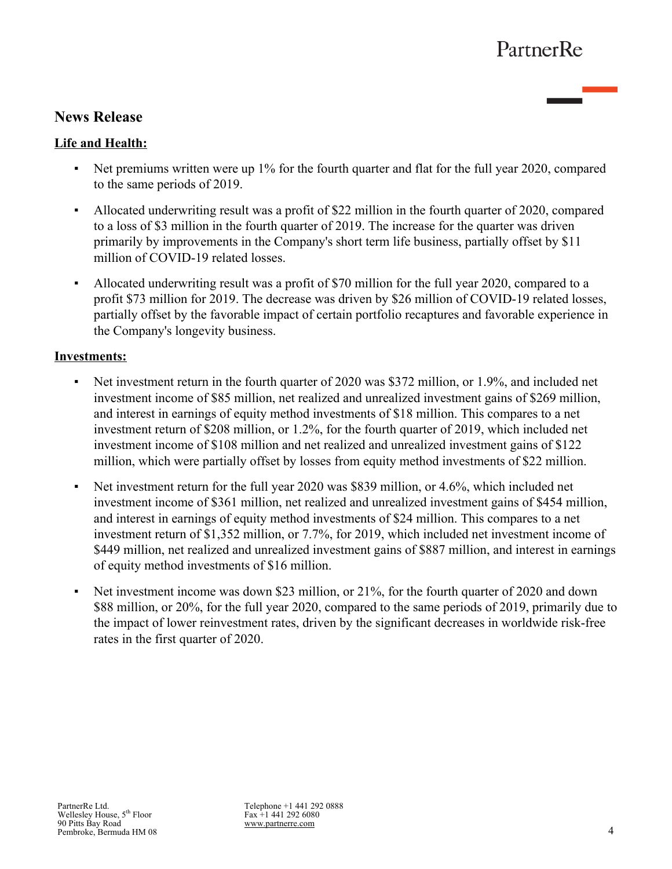# **News Release**

## **Life and Health:**

- Net premiums written were up 1% for the fourth quarter and flat for the full year 2020, compared to the same periods of 2019.
- Allocated underwriting result was a profit of \$22 million in the fourth quarter of 2020, compared to a loss of \$3 million in the fourth quarter of 2019. The increase for the quarter was driven primarily by improvements in the Company's short term life business, partially offset by \$11 million of COVID-19 related losses.
- Allocated underwriting result was a profit of \$70 million for the full year 2020, compared to a profit \$73 million for 2019. The decrease was driven by \$26 million of COVID-19 related losses, partially offset by the favorable impact of certain portfolio recaptures and favorable experience in the Company's longevity business.

### **Investments:**

- Net investment return in the fourth quarter of 2020 was \$372 million, or 1.9%, and included net investment income of \$85 million, net realized and unrealized investment gains of \$269 million, and interest in earnings of equity method investments of \$18 million. This compares to a net investment return of \$208 million, or 1.2%, for the fourth quarter of 2019, which included net investment income of \$108 million and net realized and unrealized investment gains of \$122 million, which were partially offset by losses from equity method investments of \$22 million.
- Net investment return for the full year 2020 was \$839 million, or 4.6%, which included net investment income of \$361 million, net realized and unrealized investment gains of \$454 million, and interest in earnings of equity method investments of \$24 million. This compares to a net investment return of \$1,352 million, or 7.7%, for 2019, which included net investment income of \$449 million, net realized and unrealized investment gains of \$887 million, and interest in earnings of equity method investments of \$16 million.
- Net investment income was down \$23 million, or 21%, for the fourth quarter of 2020 and down \$88 million, or 20%, for the full year 2020, compared to the same periods of 2019, primarily due to the impact of lower reinvestment rates, driven by the significant decreases in worldwide risk-free rates in the first quarter of 2020.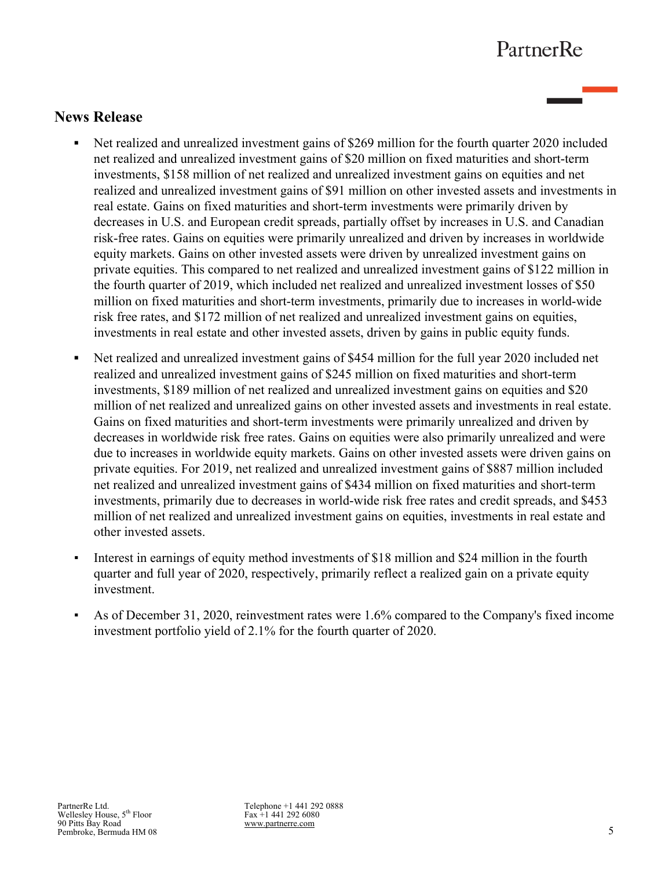## **News Release**

- **•** Net realized and unrealized investment gains of \$269 million for the fourth quarter 2020 included net realized and unrealized investment gains of \$20 million on fixed maturities and short-term investments, \$158 million of net realized and unrealized investment gains on equities and net realized and unrealized investment gains of \$91 million on other invested assets and investments in real estate. Gains on fixed maturities and short-term investments were primarily driven by decreases in U.S. and European credit spreads, partially offset by increases in U.S. and Canadian risk-free rates. Gains on equities were primarily unrealized and driven by increases in worldwide equity markets. Gains on other invested assets were driven by unrealized investment gains on private equities. This compared to net realized and unrealized investment gains of \$122 million in the fourth quarter of 2019, which included net realized and unrealized investment losses of \$50 million on fixed maturities and short-term investments, primarily due to increases in world-wide risk free rates, and \$172 million of net realized and unrealized investment gains on equities, investments in real estate and other invested assets, driven by gains in public equity funds.
- **•** Net realized and unrealized investment gains of \$454 million for the full year 2020 included net realized and unrealized investment gains of \$245 million on fixed maturities and short-term investments, \$189 million of net realized and unrealized investment gains on equities and \$20 million of net realized and unrealized gains on other invested assets and investments in real estate. Gains on fixed maturities and short-term investments were primarily unrealized and driven by decreases in worldwide risk free rates. Gains on equities were also primarily unrealized and were due to increases in worldwide equity markets. Gains on other invested assets were driven gains on private equities. For 2019, net realized and unrealized investment gains of \$887 million included net realized and unrealized investment gains of \$434 million on fixed maturities and short-term investments, primarily due to decreases in world-wide risk free rates and credit spreads, and \$453 million of net realized and unrealized investment gains on equities, investments in real estate and other invested assets.
- Interest in earnings of equity method investments of \$18 million and \$24 million in the fourth quarter and full year of 2020, respectively, primarily reflect a realized gain on a private equity investment.
- As of December 31, 2020, reinvestment rates were 1.6% compared to the Company's fixed income investment portfolio yield of 2.1% for the fourth quarter of 2020.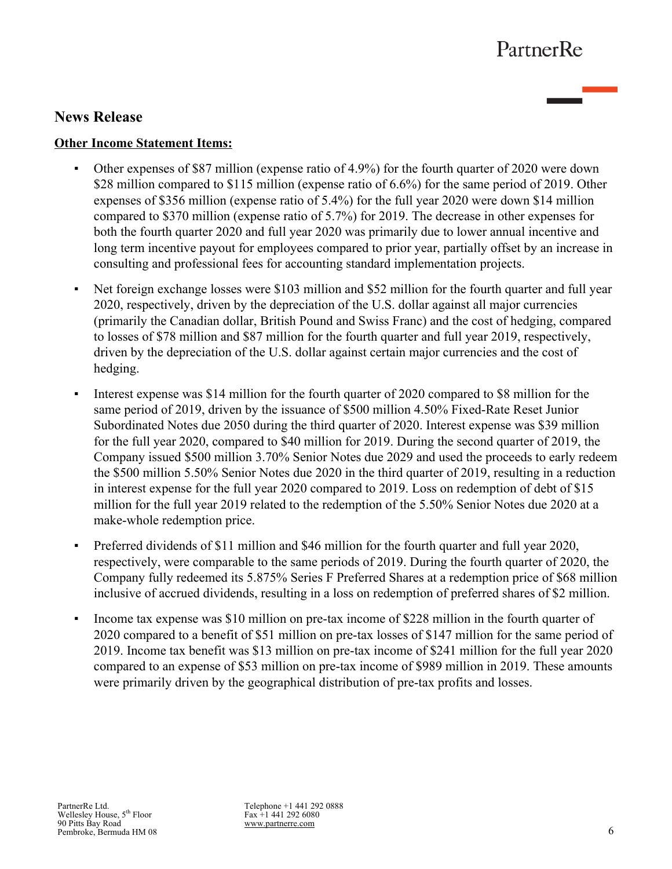## **News Release**

### **Other Income Statement Items:**

- Other expenses of \$87 million (expense ratio of 4.9%) for the fourth quarter of 2020 were down \$28 million compared to \$115 million (expense ratio of 6.6%) for the same period of 2019. Other expenses of \$356 million (expense ratio of 5.4%) for the full year 2020 were down \$14 million compared to \$370 million (expense ratio of 5.7%) for 2019. The decrease in other expenses for both the fourth quarter 2020 and full year 2020 was primarily due to lower annual incentive and long term incentive payout for employees compared to prior year, partially offset by an increase in consulting and professional fees for accounting standard implementation projects.
- Net foreign exchange losses were \$103 million and \$52 million for the fourth quarter and full year 2020, respectively, driven by the depreciation of the U.S. dollar against all major currencies (primarily the Canadian dollar, British Pound and Swiss Franc) and the cost of hedging, compared to losses of \$78 million and \$87 million for the fourth quarter and full year 2019, respectively, driven by the depreciation of the U.S. dollar against certain major currencies and the cost of hedging.
- Interest expense was \$14 million for the fourth quarter of 2020 compared to \$8 million for the same period of 2019, driven by the issuance of \$500 million 4.50% Fixed-Rate Reset Junior Subordinated Notes due 2050 during the third quarter of 2020. Interest expense was \$39 million for the full year 2020, compared to \$40 million for 2019. During the second quarter of 2019, the Company issued \$500 million 3.70% Senior Notes due 2029 and used the proceeds to early redeem the \$500 million 5.50% Senior Notes due 2020 in the third quarter of 2019, resulting in a reduction in interest expense for the full year 2020 compared to 2019. Loss on redemption of debt of \$15 million for the full year 2019 related to the redemption of the 5.50% Senior Notes due 2020 at a make-whole redemption price.
- **•** Preferred dividends of \$11 million and \$46 million for the fourth quarter and full year 2020, respectively, were comparable to the same periods of 2019. During the fourth quarter of 2020, the Company fully redeemed its 5.875% Series F Preferred Shares at a redemption price of \$68 million inclusive of accrued dividends, resulting in a loss on redemption of preferred shares of \$2 million.
- Income tax expense was \$10 million on pre-tax income of \$228 million in the fourth quarter of 2020 compared to a benefit of \$51 million on pre-tax losses of \$147 million for the same period of 2019. Income tax benefit was \$13 million on pre-tax income of \$241 million for the full year 2020 compared to an expense of \$53 million on pre-tax income of \$989 million in 2019. These amounts were primarily driven by the geographical distribution of pre-tax profits and losses.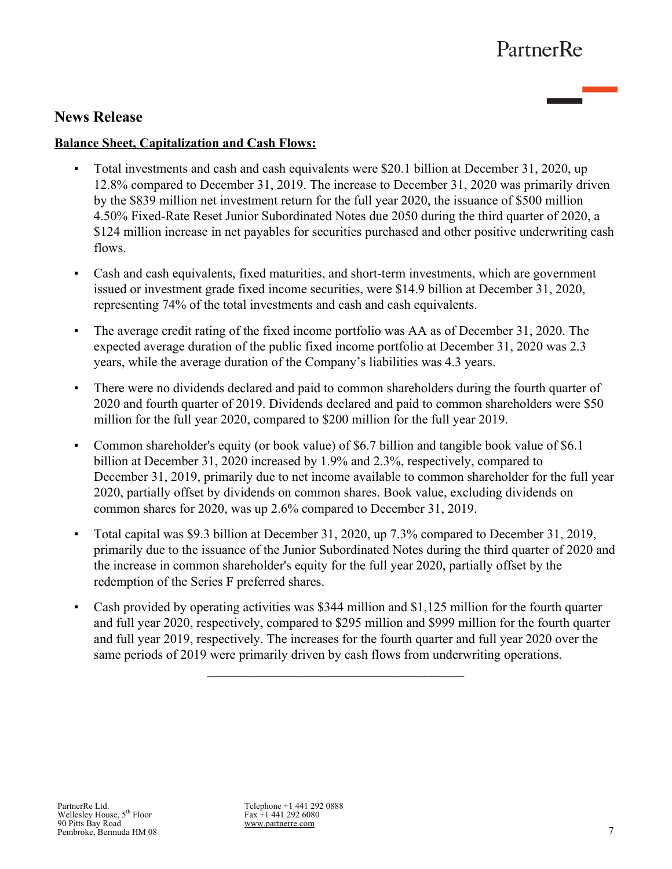## **News Release**

### **Balance Sheet, Capitalization and Cash Flows:**

- **•** Total investments and cash and cash equivalents were \$20.1 billion at December 31, 2020, up 12.8% compared to December 31, 2019. The increase to December 31, 2020 was primarily driven by the \$839 million net investment return for the full year 2020, the issuance of \$500 million 4.50% Fixed-Rate Reset Junior Subordinated Notes due 2050 during the third quarter of 2020, a \$124 million increase in net payables for securities purchased and other positive underwriting cash flows.
- Cash and cash equivalents, fixed maturities, and short-term investments, which are government issued or investment grade fixed income securities, were \$14.9 billion at December 31, 2020, representing 74% of the total investments and cash and cash equivalents.
- The average credit rating of the fixed income portfolio was AA as of December 31, 2020. The expected average duration of the public fixed income portfolio at December 31, 2020 was 2.3 years, while the average duration of the Company's liabilities was 4.3 years.
- **•** There were no dividends declared and paid to common shareholders during the fourth quarter of 2020 and fourth quarter of 2019. Dividends declared and paid to common shareholders were \$50 million for the full year 2020, compared to \$200 million for the full year 2019.
- *▪* Common shareholder's equity (or book value) of \$6.7 billion and tangible book value of \$6.1 billion at December 31, 2020 increased by 1.9% and 2.3%, respectively, compared to December 31, 2019, primarily due to net income available to common shareholder for the full year 2020, partially offset by dividends on common shares. Book value, excluding dividends on common shares for 2020, was up 2.6% compared to December 31, 2019.
- *▪* Total capital was \$9.3 billion at December 31, 2020, up 7.3% compared to December 31, 2019, primarily due to the issuance of the Junior Subordinated Notes during the third quarter of 2020 and the increase in common shareholder's equity for the full year 2020, partially offset by the redemption of the Series F preferred shares.
- Cash provided by operating activities was \$344 million and \$1,125 million for the fourth quarter and full year 2020, respectively, compared to \$295 million and \$999 million for the fourth quarter and full year 2019, respectively. The increases for the fourth quarter and full year 2020 over the same periods of 2019 were primarily driven by cash flows from underwriting operations.

**\_\_\_\_\_\_\_\_\_\_\_\_\_\_\_\_\_\_\_\_\_\_\_\_\_\_\_\_\_\_\_\_\_\_\_\_\_\_\_**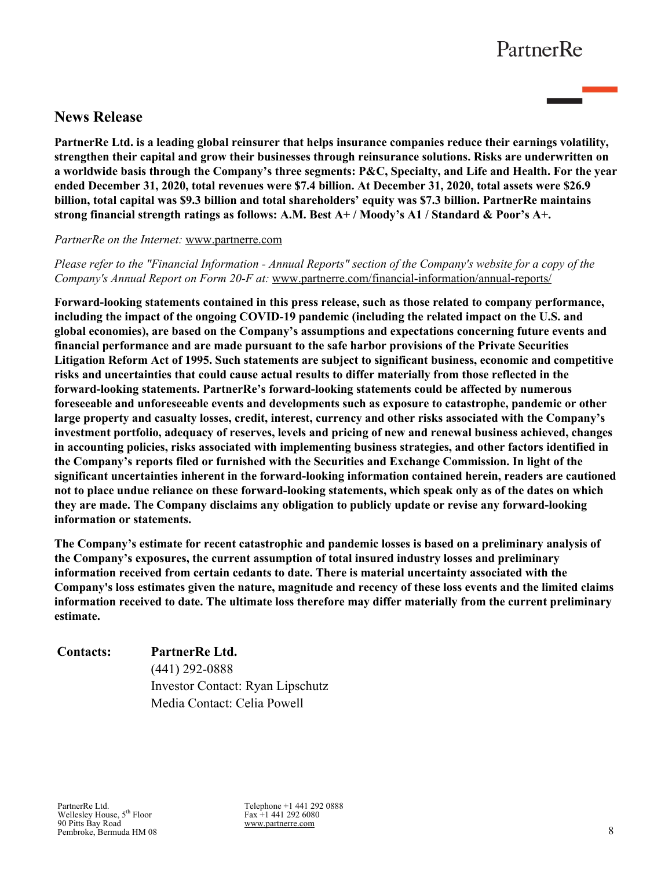# **News Release**

**PartnerRe Ltd. is a leading global reinsurer that helps insurance companies reduce their earnings volatility, strengthen their capital and grow their businesses through reinsurance solutions. Risks are underwritten on a worldwide basis through the Company's three segments: P&C, Specialty, and Life and Health. For the year ended December 31, 2020, total revenues were \$7.4 billion. At December 31, 2020, total assets were \$26.9 billion, total capital was \$9.3 billion and total shareholders' equity was \$7.3 billion. PartnerRe maintains strong financial strength ratings as follows: A.M. Best A+ / Moody's A1 / Standard & Poor's A+.** 

#### *PartnerRe on the Internet:* www.partnerre.com

*Please refer to the "Financial Information - Annual Reports" section of the Company's website for a copy of the Company's Annual Report on Form 20-F at:* www.partnerre.com/financial-information/annual-reports/

**Forward-looking statements contained in this press release, such as those related to company performance, including the impact of the ongoing COVID-19 pandemic (including the related impact on the U.S. and global economies), are based on the Company's assumptions and expectations concerning future events and financial performance and are made pursuant to the safe harbor provisions of the Private Securities Litigation Reform Act of 1995. Such statements are subject to significant business, economic and competitive risks and uncertainties that could cause actual results to differ materially from those reflected in the forward-looking statements. PartnerRe's forward-looking statements could be affected by numerous foreseeable and unforeseeable events and developments such as exposure to catastrophe, pandemic or other large property and casualty losses, credit, interest, currency and other risks associated with the Company's investment portfolio, adequacy of reserves, levels and pricing of new and renewal business achieved, changes in accounting policies, risks associated with implementing business strategies, and other factors identified in the Company's reports filed or furnished with the Securities and Exchange Commission. In light of the significant uncertainties inherent in the forward-looking information contained herein, readers are cautioned not to place undue reliance on these forward-looking statements, which speak only as of the dates on which they are made. The Company disclaims any obligation to publicly update or revise any forward-looking information or statements.**

**The Company's estimate for recent catastrophic and pandemic losses is based on a preliminary analysis of the Company's exposures, the current assumption of total insured industry losses and preliminary information received from certain cedants to date. There is material uncertainty associated with the Company's loss estimates given the nature, magnitude and recency of these loss events and the limited claims information received to date. The ultimate loss therefore may differ materially from the current preliminary estimate.**

## **Contacts: PartnerRe Ltd.** (441) 292-0888 Investor Contact: Ryan Lipschutz Media Contact: Celia Powell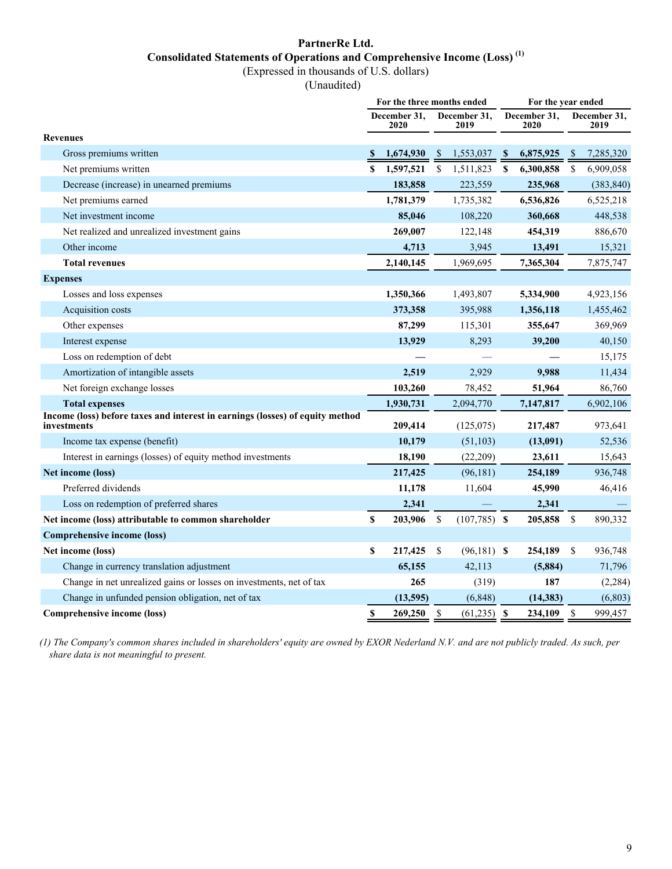## **PartnerRe Ltd. Consolidated Statements of Operations and Comprehensive Income (Loss) (1)**

(Expressed in thousands of U.S. dollars)

(Unaudited)

|                                                                                              | For the three months ended |                      |               |                      |    | For the year ended   |               |                      |
|----------------------------------------------------------------------------------------------|----------------------------|----------------------|---------------|----------------------|----|----------------------|---------------|----------------------|
|                                                                                              |                            | December 31,<br>2020 |               | December 31.<br>2019 |    | December 31,<br>2020 |               | December 31,<br>2019 |
| <b>Revenues</b>                                                                              |                            |                      |               |                      |    |                      |               |                      |
| Gross premiums written                                                                       | -S                         | 1,674,930            | -S            | 1,553,037            | -S | 6,875,925            | -S            | 7,285,320            |
| Net premiums written                                                                         | S                          | 1,597,521            | \$            | 1,511,823            | S  | 6,300,858            | <sup>\$</sup> | 6,909,058            |
| Decrease (increase) in unearned premiums                                                     |                            | 183,858              |               | 223,559              |    | 235,968              |               | (383, 840)           |
| Net premiums earned                                                                          |                            | 1,781,379            |               | 1,735,382            |    | 6,536,826            |               | 6,525,218            |
| Net investment income                                                                        |                            | 85,046               |               | 108,220              |    | 360,668              |               | 448,538              |
| Net realized and unrealized investment gains                                                 |                            | 269,007              |               | 122,148              |    | 454,319              |               | 886,670              |
| Other income                                                                                 |                            | 4,713                |               | 3,945                |    | 13,491               |               | 15,321               |
| <b>Total revenues</b>                                                                        |                            | 2,140,145            |               | 1,969,695            |    | 7,365,304            |               | 7,875,747            |
| <b>Expenses</b>                                                                              |                            |                      |               |                      |    |                      |               |                      |
| Losses and loss expenses                                                                     |                            | 1,350,366            |               | 1,493,807            |    | 5,334,900            |               | 4,923,156            |
| Acquisition costs                                                                            |                            | 373,358              |               | 395,988              |    | 1,356,118            |               | 1,455,462            |
| Other expenses                                                                               |                            | 87,299               |               | 115,301              |    | 355,647              |               | 369,969              |
| Interest expense                                                                             |                            | 13,929               |               | 8,293                |    | 39,200               |               | 40,150               |
| Loss on redemption of debt                                                                   |                            |                      |               |                      |    |                      |               | 15,175               |
| Amortization of intangible assets                                                            |                            | 2,519                |               | 2,929                |    | 9.988                |               | 11,434               |
| Net foreign exchange losses                                                                  |                            | 103,260              |               | 78,452               |    | 51,964               |               | 86,760               |
| <b>Total expenses</b>                                                                        |                            | 1,930,731            |               | 2,094,770            |    | 7,147,817            |               | 6,902,106            |
| Income (loss) before taxes and interest in earnings (losses) of equity method<br>investments |                            | 209,414              |               | (125,075)            |    | 217,487              |               | 973,641              |
| Income tax expense (benefit)                                                                 |                            | 10,179               |               | (51, 103)            |    | (13,091)             |               | 52,536               |
| Interest in earnings (losses) of equity method investments                                   |                            | 18,190               |               | (22,209)             |    | 23,611               |               | 15,643               |
| Net income (loss)                                                                            |                            | 217,425              |               | (96, 181)            |    | 254,189              |               | 936,748              |
| Preferred dividends                                                                          |                            | 11,178               |               | 11,604               |    | 45,990               |               | 46,416               |
| Loss on redemption of preferred shares                                                       |                            | 2,341                |               |                      |    | 2,341                |               |                      |
| Net income (loss) attributable to common shareholder                                         | \$                         | 203,906              | $\mathcal{S}$ | $(107,785)$ \$       |    | 205,858              | \$            | 890,332              |
| <b>Comprehensive income (loss)</b>                                                           |                            |                      |               |                      |    |                      |               |                      |
| Net income (loss)                                                                            | \$                         | 217,425              | -\$           | $(96,181)$ \$        |    | 254,189              | - \$          | 936,748              |
| Change in currency translation adjustment                                                    |                            | 65,155               |               | 42,113               |    | (5,884)              |               | 71,796               |
| Change in net unrealized gains or losses on investments, net of tax                          |                            | 265                  |               | (319)                |    | 187                  |               | (2, 284)             |
| Change in unfunded pension obligation, net of tax                                            |                            | (13,595)             |               | (6, 848)             |    | (14, 383)            |               | (6, 803)             |
| Comprehensive income (loss)                                                                  | \$                         | 269,250              | \$            | $(61,235)$ \$        |    | 234,109              | \$            | 999,457              |

*(1) The Company's common shares included in shareholders' equity are owned by EXOR Nederland N.V. and are not publicly traded. As such, per share data is not meaningful to present.*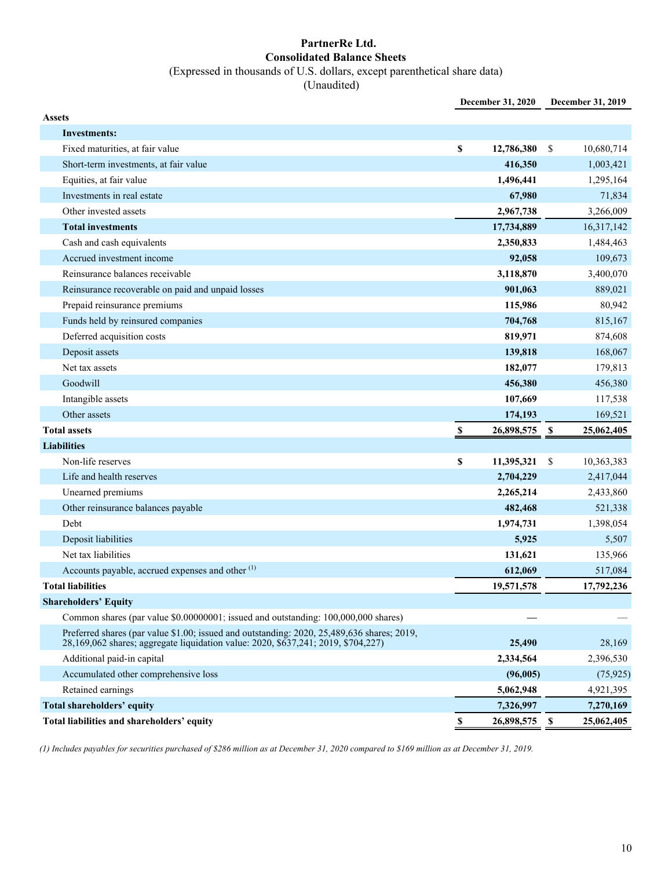### **PartnerRe Ltd. Consolidated Balance Sheets** (Expressed in thousands of U.S. dollars, except parenthetical share data)

(Unaudited)

|                                                                                                                                                                                 | December 31, 2020 |      | December 31, 2019 |
|---------------------------------------------------------------------------------------------------------------------------------------------------------------------------------|-------------------|------|-------------------|
| <b>Assets</b>                                                                                                                                                                   |                   |      |                   |
| <b>Investments:</b>                                                                                                                                                             |                   |      |                   |
| Fixed maturities, at fair value                                                                                                                                                 | \$<br>12,786,380  | \$   | 10,680,714        |
| Short-term investments, at fair value                                                                                                                                           | 416,350           |      | 1,003,421         |
| Equities, at fair value                                                                                                                                                         | 1,496,441         |      | 1,295,164         |
| Investments in real estate                                                                                                                                                      | 67,980            |      | 71,834            |
| Other invested assets                                                                                                                                                           | 2,967,738         |      | 3,266,009         |
| <b>Total investments</b>                                                                                                                                                        | 17,734,889        |      | 16,317,142        |
| Cash and cash equivalents                                                                                                                                                       | 2,350,833         |      | 1,484,463         |
| Accrued investment income                                                                                                                                                       | 92,058            |      | 109,673           |
| Reinsurance balances receivable                                                                                                                                                 | 3,118,870         |      | 3,400,070         |
| Reinsurance recoverable on paid and unpaid losses                                                                                                                               | 901,063           |      | 889,021           |
| Prepaid reinsurance premiums                                                                                                                                                    | 115,986           |      | 80,942            |
| Funds held by reinsured companies                                                                                                                                               | 704,768           |      | 815,167           |
| Deferred acquisition costs                                                                                                                                                      | 819,971           |      | 874,608           |
| Deposit assets                                                                                                                                                                  | 139,818           |      | 168,067           |
| Net tax assets                                                                                                                                                                  | 182,077           |      | 179,813           |
| Goodwill                                                                                                                                                                        | 456,380           |      | 456,380           |
| Intangible assets                                                                                                                                                               | 107,669           |      | 117,538           |
| Other assets                                                                                                                                                                    | 174,193           |      | 169,521           |
| <b>Total assets</b>                                                                                                                                                             | \$<br>26,898,575  | \$   | 25,062,405        |
| <b>Liabilities</b>                                                                                                                                                              |                   |      |                   |
| Non-life reserves                                                                                                                                                               | \$<br>11,395,321  | - \$ | 10,363,383        |
| Life and health reserves                                                                                                                                                        | 2,704,229         |      | 2,417,044         |
| Unearned premiums                                                                                                                                                               | 2,265,214         |      | 2,433,860         |
| Other reinsurance balances payable                                                                                                                                              | 482,468           |      | 521,338           |
| Debt                                                                                                                                                                            | 1,974,731         |      | 1,398,054         |
| Deposit liabilities                                                                                                                                                             | 5,925             |      | 5,507             |
| Net tax liabilities                                                                                                                                                             | 131,621           |      | 135,966           |
| Accounts payable, accrued expenses and other <sup>(1)</sup>                                                                                                                     | 612,069           |      | 517,084           |
| <b>Total liabilities</b>                                                                                                                                                        | 19,571,578        |      | 17,792,236        |
| <b>Shareholders' Equity</b>                                                                                                                                                     |                   |      |                   |
| Common shares (par value \$0.00000001; issued and outstanding: 100,000,000 shares)                                                                                              |                   |      |                   |
| Preferred shares (par value \$1.00; issued and outstanding: 2020, 25,489,636 shares; 2019,<br>28,169,062 shares; aggregate liquidation value: 2020, \$637,241; 2019, \$704,227) | 25,490            |      | 28,169            |
| Additional paid-in capital                                                                                                                                                      | 2,334,564         |      | 2,396,530         |
| Accumulated other comprehensive loss                                                                                                                                            | (96,005)          |      | (75, 925)         |
| Retained earnings                                                                                                                                                               | 5,062,948         |      | 4,921,395         |
| <b>Total shareholders' equity</b>                                                                                                                                               | 7,326,997         |      | 7,270,169         |
| Total liabilities and shareholders' equity                                                                                                                                      | \$<br>26,898,575  | - \$ | 25,062,405        |

*(1) Includes payables for securities purchased of \$286 million as at December 31, 2020 compared to \$169 million as at December 31, 2019.*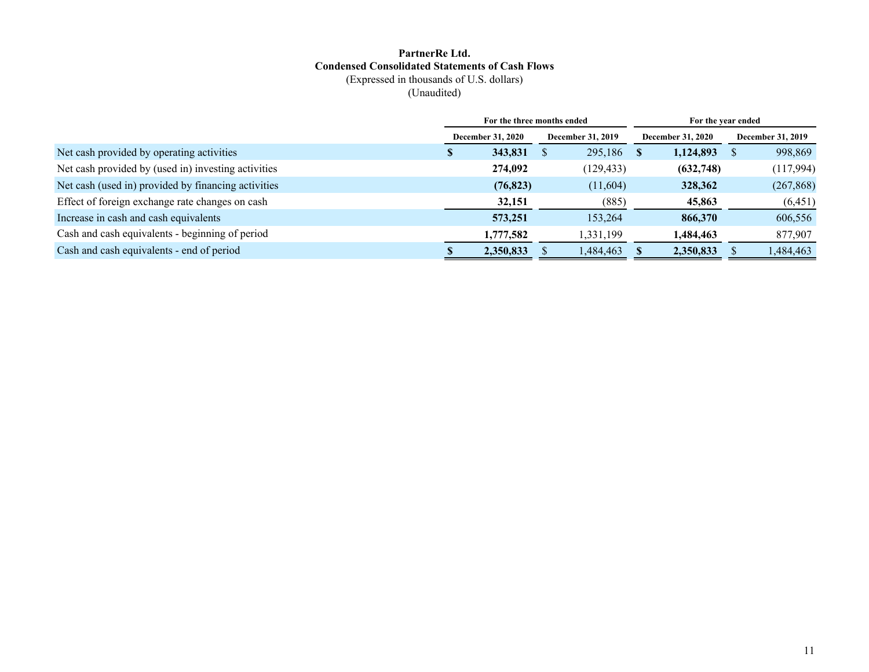#### **PartnerRe Ltd. Condensed Consolidated Statements of Cash Flows** (Expressed in thousands of U.S. dollars)

(Unaudited)

|                                                     |               |                          | For the three months ended |          | For the year ended       |                   |
|-----------------------------------------------------|---------------|--------------------------|----------------------------|----------|--------------------------|-------------------|
|                                                     |               | <b>December 31, 2020</b> | <b>December 31, 2019</b>   |          | <b>December 31, 2020</b> | December 31, 2019 |
| Net cash provided by operating activities           | <sup>\$</sup> | 343,831                  | 295,186                    | <b>S</b> | 1,124,893                | 998,869           |
| Net cash provided by (used in) investing activities |               | 274,092                  | (129, 433)                 |          | (632,748)                | (117,994)         |
| Net cash (used in) provided by financing activities |               | (76, 823)                | (11,604)                   |          | 328,362                  | (267, 868)        |
| Effect of foreign exchange rate changes on cash     |               | 32,151                   | (885)                      |          | 45,863                   | (6, 451)          |
| Increase in cash and cash equivalents               |               | 573,251                  | 153,264                    |          | 866,370                  | 606,556           |
| Cash and cash equivalents - beginning of period     |               | 1,777,582                | 1,331,199                  |          | 1,484,463                | 877,907           |
| Cash and cash equivalents - end of period           |               | 2,350,833                | 1,484,463                  |          | 2,350,833                | 1,484,463         |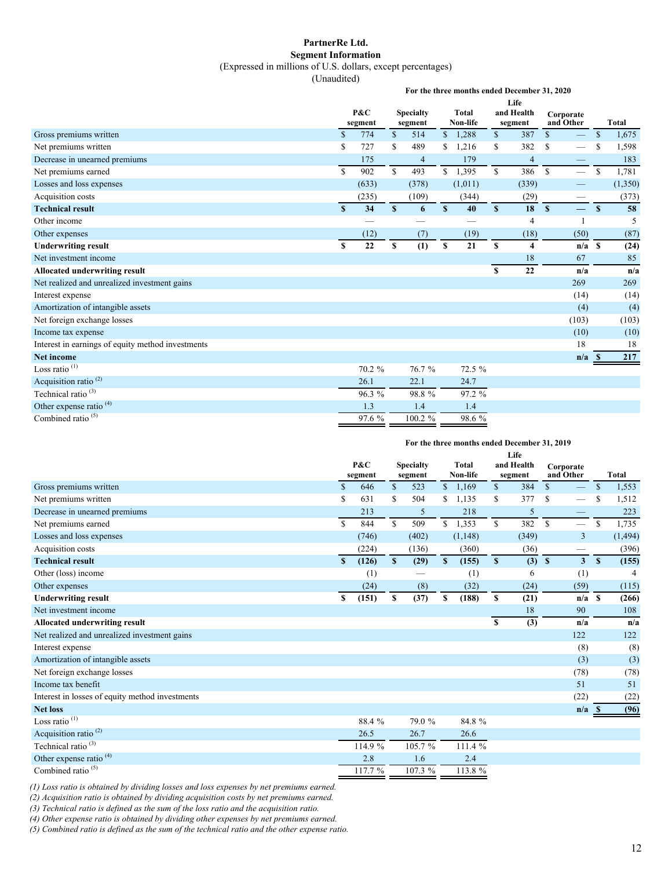#### **PartnerRe Ltd. Segment Information**

(Expressed in millions of U.S. dollars, except percentages)

(Unaudited)

**For the three months ended December 31, 2020**

|                                                   | Life          |         |              |                  |               |          |              |                         |                               |          |               |              |  |
|---------------------------------------------------|---------------|---------|--------------|------------------|---------------|----------|--------------|-------------------------|-------------------------------|----------|---------------|--------------|--|
|                                                   |               | P&C     |              | <b>Specialty</b> |               | Total    |              | and Health              | Corporate                     |          |               |              |  |
|                                                   |               | segment |              | segment          |               | Non-life |              | segment                 | and Other                     |          |               | <b>Total</b> |  |
| Gross premiums written                            | $\mathcal{S}$ | 774     | \$           | 514              | $\mathbb{S}$  | 1,288    | \$           | 387                     | $\mathsf{\$}$                 |          | $\mathbb{S}$  | 1,675        |  |
| Net premiums written                              | \$            | 727     | S            | 489              | S.            | 1,216    | \$           | 382                     | S<br>$\overline{\phantom{0}}$ |          | S             | 1,598        |  |
| Decrease in unearned premiums                     |               | 175     |              | 4                |               | 179      |              | 4                       |                               |          |               | 183          |  |
| Net premiums earned                               | $\mathbf S$   | 902     | $\mathbf S$  | 493              | S             | 1,395    | $\mathbb{S}$ | 386                     | $\mathbb{S}$                  |          | <sup>\$</sup> | 1,781        |  |
| Losses and loss expenses                          |               | (633)   |              | (378)            |               | (1,011)  |              | (339)                   |                               |          |               | (1,350)      |  |
| Acquisition costs                                 |               | (235)   |              | (109)            |               | (344)    |              | (29)                    |                               |          |               | (373)        |  |
| <b>Technical result</b>                           | $\mathbf{s}$  | 34      | $\mathbf{s}$ | 6                | <sup>\$</sup> | 40       | $\mathbf{s}$ | 18                      | $\mathbf{s}$<br>$\equiv$      |          | $\mathbf{s}$  | 58           |  |
| Other income                                      |               |         |              |                  |               | --       |              | 4                       |                               | -1       |               | 5            |  |
| Other expenses                                    |               | (12)    |              | (7)              |               | (19)     |              | (18)                    | (50)                          |          |               | (87)         |  |
| <b>Underwriting result</b>                        | \$            | 22      | \$           | (1)              | \$            | 21       | $\mathbf S$  | $\overline{\mathbf{4}}$ |                               | $n/a$ \$ |               | (24)         |  |
| Net investment income                             |               |         |              |                  |               |          |              | 18                      | 67                            |          |               | 85           |  |
| Allocated underwriting result                     |               |         |              |                  |               |          | S            | 22                      |                               | n/a      |               | n/a          |  |
| Net realized and unrealized investment gains      |               |         |              |                  |               |          |              |                         | 269                           |          |               | 269          |  |
| Interest expense                                  |               |         |              |                  |               |          |              |                         | (14)                          |          |               | (14)         |  |
| Amortization of intangible assets                 |               |         |              |                  |               |          |              |                         |                               | (4)      |               | (4)          |  |
| Net foreign exchange losses                       |               |         |              |                  |               |          |              |                         | (103)                         |          |               | (103)        |  |
| Income tax expense                                |               |         |              |                  |               |          |              |                         | (10)                          |          |               | (10)         |  |
| Interest in earnings of equity method investments |               |         |              |                  |               |          |              |                         | 18                            |          |               | 18           |  |
| <b>Net income</b>                                 |               |         |              |                  |               |          |              |                         |                               | n/a      | -8            | 217          |  |
| Loss ratio $(1)$                                  |               | 70.2 %  |              | 76.7%            |               | 72.5 %   |              |                         |                               |          |               |              |  |
| Acquisition ratio <sup>(2)</sup>                  |               | 26.1    |              | 22.1             |               | 24.7     |              |                         |                               |          |               |              |  |
| Technical ratio <sup>(3)</sup>                    |               | 96.3 %  |              | 98.8%            |               | 97.2 %   |              |                         |                               |          |               |              |  |
| Other expense ratio <sup>(4)</sup>                |               | 1.3     |              | 1.4              |               | 1.4      |              |                         |                               |          |               |              |  |
| Combined ratio <sup>(5)</sup>                     |               | 97.6 %  |              | 100.2 %          |               | 98.6 %   |              |                         |                               |          |               |              |  |

#### **For the three months ended December 31, 2019**

|                                                 | Life         |         |              |                  |              |              |              |            |              |                               |               |          |  |
|-------------------------------------------------|--------------|---------|--------------|------------------|--------------|--------------|--------------|------------|--------------|-------------------------------|---------------|----------|--|
|                                                 |              | P&C     |              | <b>Specialty</b> |              | <b>Total</b> |              | and Health | Corporate    |                               | <b>Total</b>  |          |  |
|                                                 |              | segment |              | segment          |              | Non-life     |              | segment    | and Other    |                               |               |          |  |
| Gross premiums written                          | $\mathbf S$  | 646     | \$           | 523              | $\mathbb{S}$ | 1,169        | \$           | 384        | $\mathbb{S}$ | $\overline{\phantom{0}}$      | $\mathbb{S}$  | 1,553    |  |
| Net premiums written                            | S            | 631     | S            | 504              | S            | 1,135        | \$           | 377        | S            |                               | S             | 1,512    |  |
| Decrease in unearned premiums                   |              | 213     |              | 5                |              | 218          |              | 5          |              | —                             |               | 223      |  |
| Net premiums earned                             | S            | 844     | $\mathbb{S}$ | 509              | $\mathbf S$  | 1,353        | \$           | 382        | $\mathbf S$  |                               | <sup>\$</sup> | 1,735    |  |
| Losses and loss expenses                        |              | (746)   |              | (402)            |              | (1, 148)     |              | (349)      |              | 3                             |               | (1, 494) |  |
| Acquisition costs                               |              | (224)   |              | (136)            |              | (360)        |              | (36)       |              | $\overbrace{\phantom{12333}}$ |               | (396)    |  |
| <b>Technical result</b>                         | $\mathbf{s}$ | (126)   | $\mathbf{s}$ | (29)             | $\mathbf{s}$ | (155)        | $\mathbf{s}$ | (3)        | $\mathbf{s}$ | 3 <sup>1</sup>                | $\mathbf{s}$  | (155)    |  |
| Other (loss) income                             |              | (1)     |              |                  |              | (1)          |              | 6          |              | (1)                           |               |          |  |
| Other expenses                                  |              | (24)    |              | (8)              |              | (32)         |              | (24)       |              | (59)                          |               | (115)    |  |
| <b>Underwriting result</b>                      | S            | (151)   | \$           | (37)             | \$           | (188)        | \$           | (21)       |              | $n/a$ S                       |               | (266)    |  |
| Net investment income                           |              |         |              |                  |              |              |              | 18         |              | 90                            |               | 108      |  |
| Allocated underwriting result                   |              |         |              |                  |              |              | S            | (3)        |              | n/a                           |               | n/a      |  |
| Net realized and unrealized investment gains    |              |         |              |                  |              |              |              |            |              | 122                           |               | 122      |  |
| Interest expense                                |              |         |              |                  |              |              |              |            |              | (8)                           |               | (8)      |  |
| Amortization of intangible assets               |              |         |              |                  |              |              |              |            |              | (3)                           |               | (3)      |  |
| Net foreign exchange losses                     |              |         |              |                  |              |              |              |            |              | (78)                          |               | (78)     |  |
| Income tax benefit                              |              |         |              |                  |              |              |              |            |              | 51                            |               | 51       |  |
| Interest in losses of equity method investments |              |         |              |                  |              |              |              |            |              | (22)                          |               | (22)     |  |
| <b>Net loss</b>                                 |              |         |              |                  |              |              |              |            |              | n/a                           | - S           | (96)     |  |
| Loss ratio $(1)$                                |              | 88.4 %  |              | 79.0 %           |              | 84.8 %       |              |            |              |                               |               |          |  |
| Acquisition ratio <sup>(2)</sup>                |              | 26.5    |              | 26.7             |              | 26.6         |              |            |              |                               |               |          |  |
| Technical ratio <sup>(3)</sup>                  |              | 114.9 % |              | 105.7%           |              | 111.4 %      |              |            |              |                               |               |          |  |
| Other expense ratio <sup>(4)</sup>              |              | 2.8     |              | 1.6              |              | 2.4          |              |            |              |                               |               |          |  |
| Combined ratio $(5)$                            |              | 117.7 % |              | 107.3 %          |              | 113.8 %      |              |            |              |                               |               |          |  |

*(1) Loss ratio is obtained by dividing losses and loss expenses by net premiums earned.*

*(2) Acquisition ratio is obtained by dividing acquisition costs by net premiums earned.*

*(3) Technical ratio is defined as the sum of the loss ratio and the acquisition ratio.*

*(4) Other expense ratio is obtained by dividing other expenses by net premiums earned.*

*(5) Combined ratio is defined as the sum of the technical ratio and the other expense ratio.*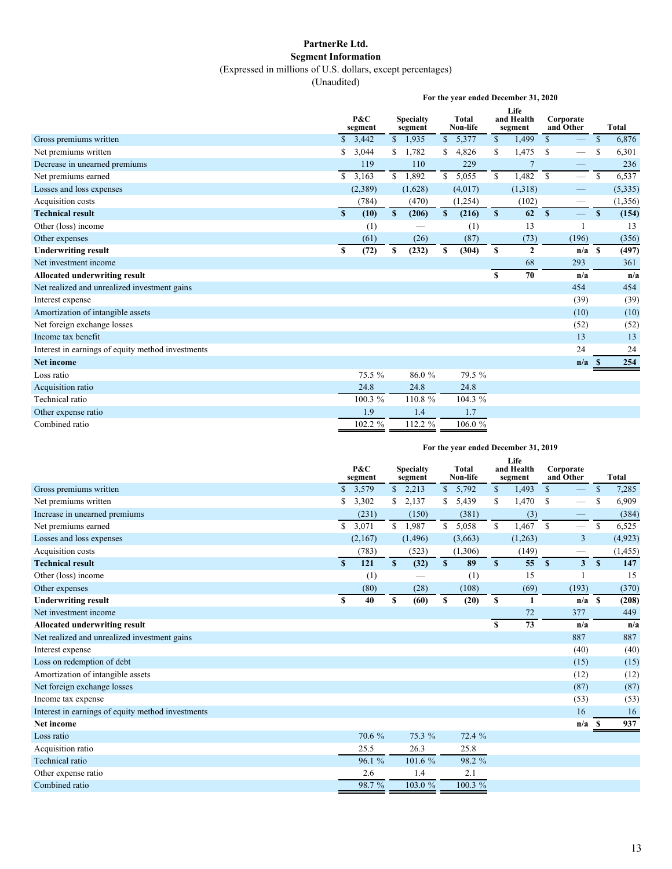### **PartnerRe Ltd. Segment Information**

(Expressed in millions of U.S. dollars, except percentages)

(Unaudited)

|                                                   |             | For the year ended December 31, 2020 |                             |         |              |                   |              |                               |                        |                          |               |              |  |  |
|---------------------------------------------------|-------------|--------------------------------------|-----------------------------|---------|--------------|-------------------|--------------|-------------------------------|------------------------|--------------------------|---------------|--------------|--|--|
|                                                   |             | P&C<br>segment                       | <b>Specialty</b><br>segment |         |              | Total<br>Non-life |              | Life<br>and Health<br>segment | Corporate<br>and Other |                          |               | <b>Total</b> |  |  |
| Gross premiums written                            | $\mathbf S$ | 3,442                                |                             | \$1,935 | $\mathbb{S}$ | 5,377             | $\mathbb{S}$ | 1,499                         | $\mathbb{S}$           |                          | $\mathcal{S}$ | 6,876        |  |  |
| Net premiums written                              | \$          | 3,044                                | S.                          | 1,782   | S            | 4,826             | \$           | 1,475                         | $\mathbf S$            |                          | \$            | 6,301        |  |  |
| Decrease in unearned premiums                     |             | 119                                  |                             | 110     |              | 229               |              | $\overline{7}$                |                        |                          |               | 236          |  |  |
| Net premiums earned                               | \$          | 3,163                                |                             | \$1,892 | $\mathbb{S}$ | 5,055             | \$           | 1,482                         | $\mathbf S$            | $\qquad \qquad$          | \$            | 6,537        |  |  |
| Losses and loss expenses                          |             | (2,389)                              |                             | (1,628) |              | (4,017)           |              | (1,318)                       |                        |                          |               | (5, 335)     |  |  |
| Acquisition costs                                 |             | (784)                                |                             | (470)   |              | (1,254)           |              | (102)                         |                        |                          |               | (1,356)      |  |  |
| <b>Technical result</b>                           | S           | (10)                                 | S                           | (206)   | S            | (216)             | $\mathbf{s}$ | 62                            | $\mathbf{s}$           | $\overline{\phantom{0}}$ | $\mathbf{s}$  | (154)        |  |  |
| Other (loss) income                               |             | (1)                                  |                             |         |              | (1)               |              | 13                            |                        |                          |               | 13           |  |  |
| Other expenses                                    |             | (61)                                 |                             | (26)    |              | (87)              |              | (73)                          |                        | (196)                    |               | (356)        |  |  |
| <b>Underwriting result</b>                        | \$          | (72)                                 | S                           | (232)   | \$           | (304)             | \$           | $\mathbf{2}$                  |                        | $n/a$ \$                 |               | (497)        |  |  |
| Net investment income                             |             |                                      |                             |         |              |                   |              | 68                            |                        | 293                      |               | 361          |  |  |
| <b>Allocated underwriting result</b>              |             |                                      |                             |         |              |                   | $\mathbf{s}$ | 70                            |                        | n/a                      |               | n/a          |  |  |
| Net realized and unrealized investment gains      |             |                                      |                             |         |              |                   |              |                               |                        | 454                      |               | 454          |  |  |
| Interest expense                                  |             |                                      |                             |         |              |                   |              |                               |                        | (39)                     |               | (39)         |  |  |
| Amortization of intangible assets                 |             |                                      |                             |         |              |                   |              |                               |                        | (10)                     |               | (10)         |  |  |
| Net foreign exchange losses                       |             |                                      |                             |         |              |                   |              |                               |                        | (52)                     |               | (52)         |  |  |
| Income tax benefit                                |             |                                      |                             |         |              |                   |              |                               |                        | 13                       |               | 13           |  |  |
| Interest in earnings of equity method investments |             |                                      |                             |         |              |                   |              |                               |                        | 24                       |               | 24           |  |  |
| <b>Net income</b>                                 |             |                                      |                             |         |              |                   |              |                               |                        | n/a                      | - S           | 254          |  |  |
| Loss ratio                                        |             | 75.5 %                               |                             | 86.0%   |              | 79.5 %            |              |                               |                        |                          |               |              |  |  |
| Acquisition ratio                                 |             | 24.8                                 |                             | 24.8    |              | 24.8              |              |                               |                        |                          |               |              |  |  |
| Technical ratio                                   |             | 100.3 %                              |                             | 110.8 % |              | 104.3 %           |              |                               |                        |                          |               |              |  |  |
| Other expense ratio                               |             | 1.9                                  |                             | 1.4     |              | 1.7               |              |                               |                        |                          |               |              |  |  |
| Combined ratio                                    |             | 102.2 %                              |                             | 112.2 % |              | 106.0%            |              |                               |                        |                          |               |              |  |  |

| For the year ended December 31, 2019 |  |  |  |  |
|--------------------------------------|--|--|--|--|
|--------------------------------------|--|--|--|--|

|                                                   |    | P&C<br>segment |              | <b>Specialty</b><br>segment |     | <b>Total</b><br>Non-life |              | Life<br>and Health<br>segment |               | Corporate<br>and Other   |               | <b>Total</b> |
|---------------------------------------------------|----|----------------|--------------|-----------------------------|-----|--------------------------|--------------|-------------------------------|---------------|--------------------------|---------------|--------------|
| Gross premiums written                            |    | \$3,579        |              | \$2,213                     | S   | 5,792                    | $\mathbb{S}$ | 1,493                         | $\mathsf{\$}$ |                          | $\mathbb{S}$  | 7,285        |
| Net premiums written                              | \$ | 3,302          | S.           | 2,137                       | \$. | 5,439                    | \$           | 1,470                         | <sup>\$</sup> |                          | S             | 6,909        |
| Increase in unearned premiums                     |    | (231)          |              | (150)                       |     | (381)                    |              | (3)                           |               | $\overline{\phantom{0}}$ |               | (384)        |
| Net premiums earned                               | S  | 3,071          | $\mathbb{S}$ | 1,987                       | S.  | 5,058                    | \$           | 1,467                         | $\mathbb{S}$  |                          | <sup>\$</sup> | 6,525        |
| Losses and loss expenses                          |    | (2,167)        |              | (1, 496)                    |     | (3,663)                  |              | (1,263)                       |               | $\overline{3}$           |               | (4,923)      |
| Acquisition costs                                 |    | (783)          |              | (523)                       |     | (1,306)                  |              | (149)                         |               |                          |               | (1, 455)     |
| <b>Technical result</b>                           | S  | 121            | S            | (32)                        | S   | 89                       | S            | 55                            | $\mathbf{s}$  | $\mathbf{3}$             | $\mathbf{s}$  | 147          |
| Other (loss) income                               |    | (1)            |              |                             |     | (1)                      |              | 15                            |               |                          |               | 15           |
| Other expenses                                    |    | (80)           |              | (28)                        |     | (108)                    |              | (69)                          |               | (193)                    |               | (370)        |
| <b>Underwriting result</b>                        | S  | 40             | \$           | (60)                        | \$  | (20)                     | \$           | 1                             |               | $n/a \quad S$            |               | (208)        |
| Net investment income                             |    |                |              |                             |     |                          |              | 72                            |               | 377                      |               | 449          |
| Allocated underwriting result                     |    |                |              |                             |     |                          | $\mathbf{s}$ | 73                            |               | n/a                      |               | n/a          |
| Net realized and unrealized investment gains      |    |                |              |                             |     |                          |              |                               |               | 887                      |               | 887          |
| Interest expense                                  |    |                |              |                             |     |                          |              |                               |               | (40)                     |               | (40)         |
| Loss on redemption of debt                        |    |                |              |                             |     |                          |              |                               |               | (15)                     |               | (15)         |
| Amortization of intangible assets                 |    |                |              |                             |     |                          |              |                               |               | (12)                     |               | (12)         |
| Net foreign exchange losses                       |    |                |              |                             |     |                          |              |                               |               | (87)                     |               | (87)         |
| Income tax expense                                |    |                |              |                             |     |                          |              |                               |               | (53)                     |               | (53)         |
| Interest in earnings of equity method investments |    |                |              |                             |     |                          |              |                               |               | 16                       |               | 16           |
| Net income                                        |    |                |              |                             |     |                          |              |                               |               | n/a                      | - S           | 937          |
| Loss ratio                                        |    | 70.6 %         |              | 75.3 %                      |     | 72.4 %                   |              |                               |               |                          |               |              |
| Acquisition ratio                                 |    | 25.5           |              | 26.3                        |     | 25.8                     |              |                               |               |                          |               |              |
| Technical ratio                                   |    | 96.1%          |              | 101.6 %                     |     | 98.2 %                   |              |                               |               |                          |               |              |
| Other expense ratio                               |    | 2.6            |              | 1.4                         |     | 2.1                      |              |                               |               |                          |               |              |
| Combined ratio                                    |    | 98.7 %         |              | 103.0 %                     |     | 100.3 %                  |              |                               |               |                          |               |              |
|                                                   |    |                |              |                             |     |                          |              |                               |               |                          |               |              |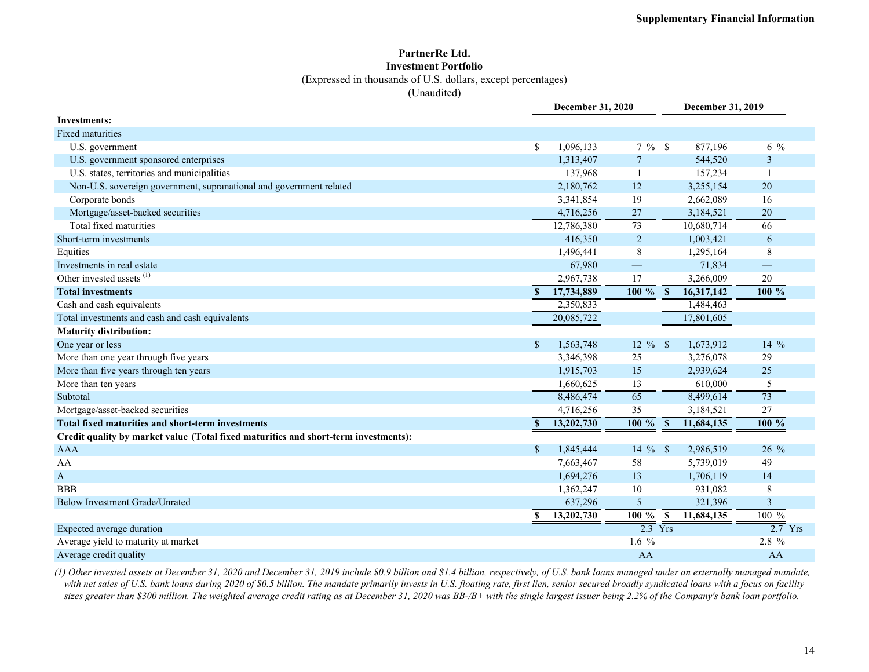#### **PartnerRe Ltd. Investment Portfolio**

(Expressed in thousands of U.S. dollars, except percentages)

(Unaudited)

|                                                                                     |               | <b>December 31, 2020</b> |                          | December 31, 2019          |                                                                                                                                                                                                                                                                                                                                                                                                                                                                                                                                                       |
|-------------------------------------------------------------------------------------|---------------|--------------------------|--------------------------|----------------------------|-------------------------------------------------------------------------------------------------------------------------------------------------------------------------------------------------------------------------------------------------------------------------------------------------------------------------------------------------------------------------------------------------------------------------------------------------------------------------------------------------------------------------------------------------------|
| Investments:                                                                        |               |                          |                          |                            |                                                                                                                                                                                                                                                                                                                                                                                                                                                                                                                                                       |
| <b>Fixed maturities</b>                                                             |               |                          |                          |                            |                                                                                                                                                                                                                                                                                                                                                                                                                                                                                                                                                       |
| U.S. government                                                                     | S             | 1,096,133                | $7\%$ \$                 | 877,196                    | $6\frac{9}{6}$                                                                                                                                                                                                                                                                                                                                                                                                                                                                                                                                        |
| U.S. government sponsored enterprises                                               |               | 1,313,407                | $\overline{7}$           | 544,520                    | 3                                                                                                                                                                                                                                                                                                                                                                                                                                                                                                                                                     |
| U.S. states, territories and municipalities                                         |               | 137,968                  |                          | 157,234                    | $\overline{\phantom{a}}$                                                                                                                                                                                                                                                                                                                                                                                                                                                                                                                              |
| Non-U.S. sovereign government, supranational and government related                 |               | 2,180,762                | 12                       | 3,255,154                  | 20                                                                                                                                                                                                                                                                                                                                                                                                                                                                                                                                                    |
| Corporate bonds                                                                     |               | 3,341,854                | 19                       | 2,662,089                  | 16                                                                                                                                                                                                                                                                                                                                                                                                                                                                                                                                                    |
| Mortgage/asset-backed securities                                                    |               | 4,716,256                | 27                       | 3,184,521                  | $20\,$                                                                                                                                                                                                                                                                                                                                                                                                                                                                                                                                                |
| Total fixed maturities                                                              |               | 12,786,380               | 73                       | 10,680,714                 | 66                                                                                                                                                                                                                                                                                                                                                                                                                                                                                                                                                    |
| Short-term investments                                                              |               | 416,350                  | $\overline{2}$           | 1,003,421                  | 6                                                                                                                                                                                                                                                                                                                                                                                                                                                                                                                                                     |
| Equities                                                                            |               | 1,496,441                | 8                        | 1,295,164                  | 8                                                                                                                                                                                                                                                                                                                                                                                                                                                                                                                                                     |
| Investments in real estate                                                          |               | 67,980                   | $\overline{\phantom{0}}$ | 71,834                     | $\qquad \qquad \overline{\qquad \qquad }% \qquad \overline{\qquad \qquad }% \qquad \overline{\qquad \qquad }% \qquad \overline{\qquad \qquad }% \qquad \qquad \overline{\qquad \qquad }% \qquad \qquad \overline{\qquad \qquad }% \qquad \qquad \overline{\qquad \qquad }% \qquad \qquad \overline{\qquad \qquad }% \qquad \qquad \overline{\qquad \qquad }% \qquad \qquad \overline{\qquad \qquad }% \qquad \qquad \overline{\qquad \qquad }% \qquad \qquad \overline{\qquad \qquad }% \qquad \qquad \overline{\qquad \qquad }% \qquad \qquad \over$ |
| Other invested assets <sup>(1)</sup>                                                |               | 2,967,738                | 17                       | 3,266,009                  | 20                                                                                                                                                                                                                                                                                                                                                                                                                                                                                                                                                    |
| <b>Total investments</b>                                                            | S             | 17,734,889               | $100\%$                  | $\mathbf{s}$<br>16,317,142 | 100 %                                                                                                                                                                                                                                                                                                                                                                                                                                                                                                                                                 |
| Cash and cash equivalents                                                           |               | 2,350,833                |                          | 1,484,463                  |                                                                                                                                                                                                                                                                                                                                                                                                                                                                                                                                                       |
| Total investments and cash and cash equivalents                                     |               | 20,085,722               |                          | 17,801,605                 |                                                                                                                                                                                                                                                                                                                                                                                                                                                                                                                                                       |
| <b>Maturity distribution:</b>                                                       |               |                          |                          |                            |                                                                                                                                                                                                                                                                                                                                                                                                                                                                                                                                                       |
| One year or less                                                                    | <sup>\$</sup> | 1,563,748                | $12 \%$ \$               | 1,673,912                  | $14\%$                                                                                                                                                                                                                                                                                                                                                                                                                                                                                                                                                |
| More than one year through five years                                               |               | 3,346,398                | 25                       | 3,276,078                  | 29                                                                                                                                                                                                                                                                                                                                                                                                                                                                                                                                                    |
| More than five years through ten years                                              |               | 1,915,703                | 15                       | 2,939,624                  | 25                                                                                                                                                                                                                                                                                                                                                                                                                                                                                                                                                    |
| More than ten years                                                                 |               | 1,660,625                | 13                       | 610,000                    | 5                                                                                                                                                                                                                                                                                                                                                                                                                                                                                                                                                     |
| Subtotal                                                                            |               | 8,486,474                | $\overline{65}$          | 8,499,614                  | $\overline{73}$                                                                                                                                                                                                                                                                                                                                                                                                                                                                                                                                       |
| Mortgage/asset-backed securities                                                    |               | 4,716,256                | 35                       | 3,184,521                  | 27                                                                                                                                                                                                                                                                                                                                                                                                                                                                                                                                                    |
| Total fixed maturities and short-term investments                                   | $\mathbf{s}$  | 13,202,730               | 100 %                    | $\mathbf{s}$<br>11,684,135 | 100 %                                                                                                                                                                                                                                                                                                                                                                                                                                                                                                                                                 |
| Credit quality by market value (Total fixed maturities and short-term investments): |               |                          |                          |                            |                                                                                                                                                                                                                                                                                                                                                                                                                                                                                                                                                       |
| <b>AAA</b>                                                                          | $\mathbf S$   | 1,845,444                | 14 $%$ \$                | 2,986,519                  | 26 %                                                                                                                                                                                                                                                                                                                                                                                                                                                                                                                                                  |
| AA                                                                                  |               | 7,663,467                | 58                       | 5,739,019                  | 49                                                                                                                                                                                                                                                                                                                                                                                                                                                                                                                                                    |
| $\mathbf{A}$                                                                        |               | 1,694,276                | 13                       | 1,706,119                  | 14                                                                                                                                                                                                                                                                                                                                                                                                                                                                                                                                                    |
| <b>BBB</b>                                                                          |               | 1,362,247                | 10                       | 931,082                    | 8                                                                                                                                                                                                                                                                                                                                                                                                                                                                                                                                                     |
| <b>Below Investment Grade/Unrated</b>                                               |               | 637,296                  | 5                        | 321,396                    | 3                                                                                                                                                                                                                                                                                                                                                                                                                                                                                                                                                     |
|                                                                                     | S             | 13,202,730               | $100 \%$                 | $\mathbf{s}$<br>11,684,135 | $100\%$                                                                                                                                                                                                                                                                                                                                                                                                                                                                                                                                               |
| Expected average duration                                                           |               |                          | $2.3$ Yrs                |                            | $2.7$ Yrs                                                                                                                                                                                                                                                                                                                                                                                                                                                                                                                                             |
| Average yield to maturity at market                                                 |               |                          | 1.6 $%$                  |                            | 2.8 %                                                                                                                                                                                                                                                                                                                                                                                                                                                                                                                                                 |
| Average credit quality                                                              |               |                          | AA                       |                            | AA                                                                                                                                                                                                                                                                                                                                                                                                                                                                                                                                                    |

*(1) Other invested assets at December 31, 2020 and December 31, 2019 include \$0.9 billion and \$1.4 billion, respectively, of U.S. bank loans managed under an externally managed mandate, with net sales of U.S. bank loans during 2020 of \$0.5 billion. The mandate primarily invests in U.S. floating rate, first lien, senior secured broadly syndicated loans with a focus on facility sizes greater than \$300 million. The weighted average credit rating as at December 31, 2020 was BB-/B+ with the single largest issuer being 2.2% of the Company's bank loan portfolio.*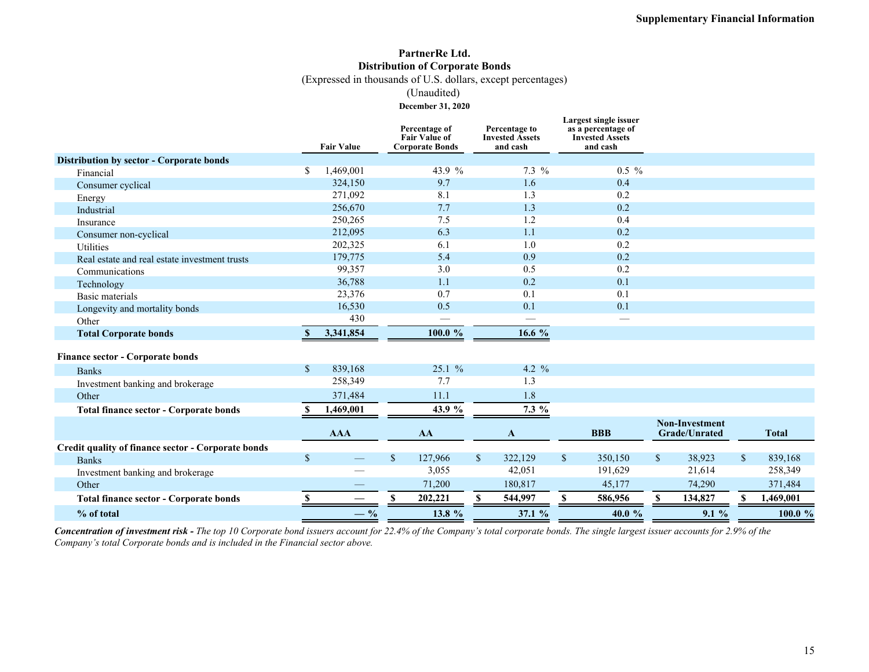### **PartnerRe Ltd. Distribution of Corporate Bonds**

(Expressed in thousands of U.S. dollars, except percentages)

(Unaudited)

**December 31, 2020**

|                                                    |              | <b>Fair Value</b> |              | Percentage of<br><b>Fair Value of</b><br><b>Corporate Bonds</b> |              | Percentage to<br><b>Invested Assets</b><br>and cash |              | Largest single issuer<br>as a percentage of<br><b>Invested Assets</b><br>and cash |              |                                               |              |              |
|----------------------------------------------------|--------------|-------------------|--------------|-----------------------------------------------------------------|--------------|-----------------------------------------------------|--------------|-----------------------------------------------------------------------------------|--------------|-----------------------------------------------|--------------|--------------|
| <b>Distribution by sector - Corporate bonds</b>    |              |                   |              |                                                                 |              |                                                     |              |                                                                                   |              |                                               |              |              |
| Financial                                          | S.           | 1,469,001         |              | 43.9 %                                                          |              | $7.3\%$                                             |              | $0.5\%$                                                                           |              |                                               |              |              |
| Consumer cyclical                                  |              | 324,150           |              | 9.7                                                             |              | 1.6                                                 |              | 0.4                                                                               |              |                                               |              |              |
| Energy                                             |              | 271,092           |              | 8.1                                                             |              | 1.3                                                 |              | 0.2                                                                               |              |                                               |              |              |
| Industrial                                         |              | 256,670           |              | 7.7                                                             |              | 1.3                                                 |              | 0.2                                                                               |              |                                               |              |              |
| Insurance                                          |              | 250,265           |              | 7.5                                                             |              | 1.2                                                 |              | 0.4                                                                               |              |                                               |              |              |
| Consumer non-cyclical                              |              | 212,095           |              | 6.3                                                             |              | 1.1                                                 |              | 0.2                                                                               |              |                                               |              |              |
| <b>Utilities</b>                                   |              | 202,325           |              | 6.1                                                             |              | 1.0                                                 |              | 0.2                                                                               |              |                                               |              |              |
| Real estate and real estate investment trusts      |              | 179,775           |              | 5.4                                                             |              | 0.9                                                 |              | 0.2                                                                               |              |                                               |              |              |
| Communications                                     |              | 99,357            |              | 3.0                                                             |              | 0.5                                                 |              | 0.2                                                                               |              |                                               |              |              |
| Technology                                         |              | 36,788            |              | 1.1                                                             |              | 0.2                                                 |              | 0.1                                                                               |              |                                               |              |              |
| Basic materials                                    |              | 23,376            |              | 0.7                                                             |              | 0.1                                                 |              | 0.1                                                                               |              |                                               |              |              |
| Longevity and mortality bonds                      |              | 16,530            |              | 0.5                                                             |              | 0.1                                                 |              | 0.1                                                                               |              |                                               |              |              |
| Other                                              |              | 430               |              |                                                                 |              |                                                     |              |                                                                                   |              |                                               |              |              |
| <b>Total Corporate bonds</b>                       | <b>S</b>     | 3,341,854         |              | 100.0 %                                                         |              | 16.6 %                                              |              |                                                                                   |              |                                               |              |              |
| Finance sector - Corporate bonds                   |              |                   |              |                                                                 |              |                                                     |              |                                                                                   |              |                                               |              |              |
| <b>Banks</b>                                       | $\mathbb{S}$ | 839,168           |              | 25.1%                                                           |              | 4.2 $\frac{9}{6}$                                   |              |                                                                                   |              |                                               |              |              |
| Investment banking and brokerage                   |              | 258,349           |              | 7.7                                                             |              | 1.3                                                 |              |                                                                                   |              |                                               |              |              |
| Other                                              |              | 371,484           |              | 11.1                                                            |              | 1.8                                                 |              |                                                                                   |              |                                               |              |              |
| <b>Total finance sector - Corporate bonds</b>      | -S           | 1,469,001         |              | 43.9 %                                                          |              | 7.3 %                                               |              |                                                                                   |              |                                               |              |              |
|                                                    |              | <b>AAA</b>        |              | AA                                                              |              | $\mathbf{A}$                                        |              | <b>BBB</b>                                                                        |              | <b>Non-Investment</b><br><b>Grade/Unrated</b> |              | <b>Total</b> |
| Credit quality of finance sector - Corporate bonds |              |                   |              |                                                                 |              |                                                     |              |                                                                                   |              |                                               |              |              |
| <b>Banks</b>                                       | $\mathbb{S}$ |                   | $\mathbb{S}$ | 127,966                                                         | $\mathbb{S}$ | 322,129                                             | $\mathbb{S}$ | 350,150                                                                           | $\mathbb{S}$ | 38,923                                        | $\mathbb{S}$ | 839,168      |
| Investment banking and brokerage                   |              |                   |              | 3,055                                                           |              | 42,051                                              |              | 191,629                                                                           |              | 21,614                                        |              | 258,349      |
| Other                                              |              |                   |              | 71,200                                                          |              | 180,817                                             |              | 45,177                                                                            |              | 74,290                                        |              | 371,484      |
| <b>Total finance sector - Corporate bonds</b>      | S            |                   |              | 202,221                                                         | \$.          | 544,997                                             | \$           | 586,956                                                                           | \$.          | 134,827                                       |              | 1,469,001    |
| % of total                                         |              | $-$ %             |              | 13.8 %                                                          |              | 37.1 %                                              |              | 40.0 $%$                                                                          |              | 9.1%                                          |              | 100.0 %      |

*Concentration of investment risk - The top 10 Corporate bond issuers account for 22.4% of the Company's total corporate bonds. The single largest issuer accounts for 2.9% of the Company's total Corporate bonds and is included in the Financial sector above.*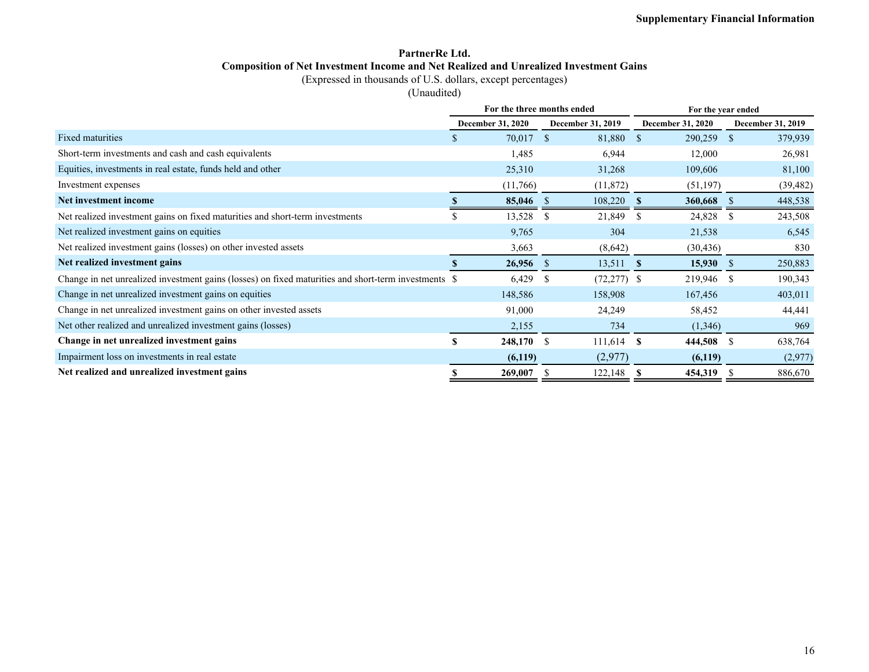### **PartnerRe Ltd. Composition of Net Investment Income and Net Realized and Unrealized Investment Gains**

(Expressed in thousands of U.S. dollars, except percentages)

(Unaudited)

|                                                                                                      |   | For the three months ended |               |                          | For the year ended       |             |               |                          |  |  |  |
|------------------------------------------------------------------------------------------------------|---|----------------------------|---------------|--------------------------|--------------------------|-------------|---------------|--------------------------|--|--|--|
|                                                                                                      |   | <b>December 31, 2020</b>   |               | <b>December 31, 2019</b> | <b>December 31, 2020</b> |             |               | <b>December 31, 2019</b> |  |  |  |
| <b>Fixed maturities</b>                                                                              | S | 70,017                     | <sup>\$</sup> | 81,880                   | <sup>\$</sup>            | 290,259     | <sup>\$</sup> | 379,939                  |  |  |  |
| Short-term investments and cash and cash equivalents                                                 |   | 1,485                      |               | 6,944                    |                          | 12,000      |               | 26,981                   |  |  |  |
| Equities, investments in real estate, funds held and other                                           |   | 25,310                     |               | 31,268                   |                          | 109,606     |               | 81,100                   |  |  |  |
| Investment expenses                                                                                  |   | (11,766)                   |               | (11, 872)                |                          | (51, 197)   |               | (39, 482)                |  |  |  |
| Net investment income                                                                                |   | 85,046                     |               | 108,220                  | - \$                     | 360,668     | -S            | 448,538                  |  |  |  |
| Net realized investment gains on fixed maturities and short-term investments                         |   | 13,528                     | - S           | 21,849                   | -S                       | 24,828      | -S            | 243,508                  |  |  |  |
| Net realized investment gains on equities                                                            |   | 9,765                      |               | 304                      |                          | 21,538      |               | 6,545                    |  |  |  |
| Net realized investment gains (losses) on other invested assets                                      |   | 3,663                      |               | (8,642)                  |                          | (30, 436)   |               | 830                      |  |  |  |
| Net realized investment gains                                                                        |   | $26,956$ \$                |               | 13,511                   | $\mathbf{s}$             | $15,930$ \$ |               | 250,883                  |  |  |  |
| Change in net unrealized investment gains (losses) on fixed maturities and short-term investments \$ |   | 6,429                      | -S            | $(72, 277)$ \$           |                          | 219,946 \$  |               | 190,343                  |  |  |  |
| Change in net unrealized investment gains on equities                                                |   | 148,586                    |               | 158,908                  |                          | 167,456     |               | 403,011                  |  |  |  |
| Change in net unrealized investment gains on other invested assets                                   |   | 91,000                     |               | 24,249                   |                          | 58,452      |               | 44,441                   |  |  |  |
| Net other realized and unrealized investment gains (losses)                                          |   | 2,155                      |               | 734                      |                          | (1,346)     |               | 969                      |  |  |  |
| Change in net unrealized investment gains                                                            | S | 248,170 \$                 |               | 111,614                  | S                        | 444,508     | -S            | 638,764                  |  |  |  |
| Impairment loss on investments in real estate                                                        |   | (6,119)                    |               | (2,977)                  |                          | (6,119)     |               | (2,977)                  |  |  |  |
| Net realized and unrealized investment gains                                                         |   | 269,007                    |               | 122,148                  | S                        | 454,319     | -S            | 886,670                  |  |  |  |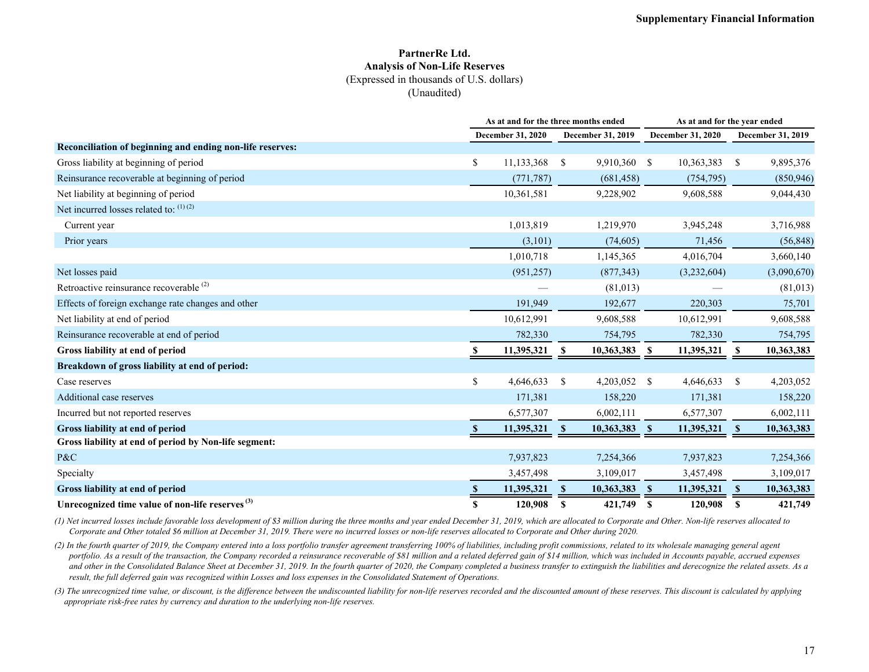#### **PartnerRe Ltd. Analysis of Non-Life Reserves** (Expressed in thousands of U.S. dollars) (Unaudited)

|                                                             |    | As at and for the three months ended |               |            |               |                   | As at and for the year ended |             |  |  |  |  |
|-------------------------------------------------------------|----|--------------------------------------|---------------|------------|---------------|-------------------|------------------------------|-------------|--|--|--|--|
|                                                             |    | December 31, 2020                    |               |            |               | December 31, 2020 | December 31, 2019            |             |  |  |  |  |
| Reconciliation of beginning and ending non-life reserves:   |    |                                      |               |            |               |                   |                              |             |  |  |  |  |
| Gross liability at beginning of period                      | \$ | 11,133,368                           | <sup>\$</sup> | 9,910,360  | <sup>\$</sup> | 10,363,383        | -S                           | 9,895,376   |  |  |  |  |
| Reinsurance recoverable at beginning of period              |    | (771, 787)                           |               | (681, 458) |               | (754, 795)        |                              | (850, 946)  |  |  |  |  |
| Net liability at beginning of period                        |    | 10,361,581                           |               | 9,228,902  |               | 9,608,588         |                              | 9,044,430   |  |  |  |  |
| Net incurred losses related to: $(1)(2)$                    |    |                                      |               |            |               |                   |                              |             |  |  |  |  |
| Current year                                                |    | 1,013,819                            |               | 1,219,970  |               | 3,945,248         |                              | 3,716,988   |  |  |  |  |
| Prior years                                                 |    | (3,101)                              |               | (74, 605)  |               | 71,456            |                              | (56, 848)   |  |  |  |  |
|                                                             |    | 1,010,718                            |               | 1,145,365  |               | 4,016,704         |                              | 3,660,140   |  |  |  |  |
| Net losses paid                                             |    | (951, 257)                           |               | (877, 343) |               | (3,232,604)       |                              | (3,090,670) |  |  |  |  |
| Retroactive reinsurance recoverable <sup>(2)</sup>          |    |                                      |               | (81,013)   |               |                   |                              | (81, 013)   |  |  |  |  |
| Effects of foreign exchange rate changes and other          |    | 191,949                              |               | 192,677    |               | 220,303           |                              | 75,701      |  |  |  |  |
| Net liability at end of period                              |    | 10,612,991                           |               | 9,608,588  |               | 10,612,991        |                              | 9,608,588   |  |  |  |  |
| Reinsurance recoverable at end of period                    |    | 782,330                              |               | 754,795    |               | 782,330           |                              | 754,795     |  |  |  |  |
| Gross liability at end of period                            |    | 11,395,321                           | S             | 10,363,383 | S             | 11,395,321        | S                            | 10,363,383  |  |  |  |  |
| Breakdown of gross liability at end of period:              |    |                                      |               |            |               |                   |                              |             |  |  |  |  |
| Case reserves                                               | \$ | 4,646,633                            | <sup>\$</sup> | 4,203,052  | <sup>\$</sup> | 4,646,633         | -S                           | 4,203,052   |  |  |  |  |
| Additional case reserves                                    |    | 171,381                              |               | 158,220    |               | 171,381           |                              | 158,220     |  |  |  |  |
| Incurred but not reported reserves                          |    | 6,577,307                            |               | 6,002,111  |               | 6,577,307         |                              | 6,002,111   |  |  |  |  |
| Gross liability at end of period                            |    | 11,395,321                           | S             | 10,363,383 | <b>S</b>      | 11,395,321        | -S                           | 10,363,383  |  |  |  |  |
| Gross liability at end of period by Non-life segment:       |    |                                      |               |            |               |                   |                              |             |  |  |  |  |
| P&C                                                         |    | 7,937,823                            |               | 7,254,366  |               | 7,937,823         |                              | 7,254,366   |  |  |  |  |
| Specialty                                                   |    | 3,457,498                            |               | 3,109,017  |               | 3,457,498         |                              | 3,109,017   |  |  |  |  |
| Gross liability at end of period                            |    | 11,395,321                           |               | 10,363,383 | -S            | 11,395,321        | $\mathbf{s}$                 | 10,363,383  |  |  |  |  |
| Unrecognized time value of non-life reserves <sup>(3)</sup> | S  | 120,908                              | S             | 421,749    | S             | 120,908           | S                            | 421,749     |  |  |  |  |

*(1) Net incurred losses include favorable loss development of \$3 million during the three months and year ended December 31, 2019, which are allocated to Corporate and Other. Non-life reserves allocated to Corporate and Other totaled \$6 million at December 31, 2019. There were no incurred losses or non-life reserves allocated to Corporate and Other during 2020.*

*(2) In the fourth quarter of 2019, the Company entered into a loss portfolio transfer agreement transferring 100% of liabilities, including profit commissions, related to its wholesale managing general agent portfolio. As a result of the transaction, the Company recorded a reinsurance recoverable of \$81 million and a related deferred gain of \$14 million, which was included in Accounts payable, accrued expenses*  and other in the Consolidated Balance Sheet at December 31, 2019. In the fourth quarter of 2020, the Company completed a business transfer to extinguish the liabilities and derecognize the related assets. As a *result, the full deferred gain was recognized within Losses and loss expenses in the Consolidated Statement of Operations.*

*(3) The unrecognized time value, or discount, is the difference between the undiscounted liability for non-life reserves recorded and the discounted amount of these reserves. This discount is calculated by applying appropriate risk-free rates by currency and duration to the underlying non-life reserves.*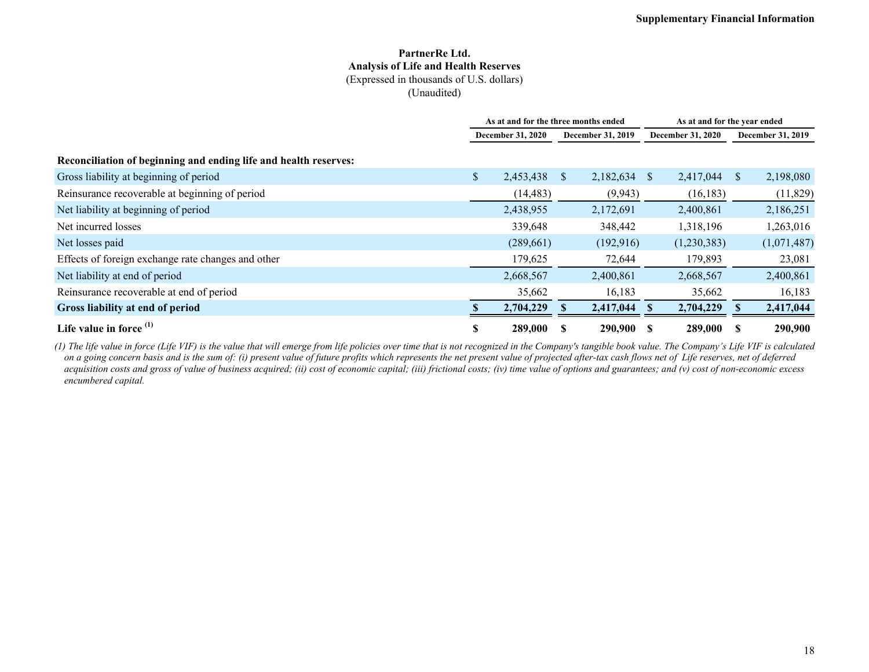#### **PartnerRe Ltd. Analysis of Life and Health Reserves** (Expressed in thousands of U.S. dollars) (Unaudited)

|                                                                  | As at and for the three months ended |           |              |                          |              | As at and for the year ended |                          |             |  |  |
|------------------------------------------------------------------|--------------------------------------|-----------|--------------|--------------------------|--------------|------------------------------|--------------------------|-------------|--|--|
|                                                                  | <b>December 31, 2020</b>             |           |              | <b>December 31, 2019</b> |              | <b>December 31, 2020</b>     | <b>December 31, 2019</b> |             |  |  |
| Reconciliation of beginning and ending life and health reserves: |                                      |           |              |                          |              |                              |                          |             |  |  |
| Gross liability at beginning of period                           | \$                                   | 2,453,438 | <sup>S</sup> | 2,182,634                | <sup>S</sup> | 2,417,044                    | S                        | 2,198,080   |  |  |
| Reinsurance recoverable at beginning of period                   |                                      | (14, 483) |              | (9,943)                  |              | (16, 183)                    |                          | (11,829)    |  |  |
| Net liability at beginning of period                             |                                      | 2,438,955 |              | 2,172,691                |              | 2,400,861                    |                          | 2,186,251   |  |  |
| Net incurred losses                                              |                                      | 339,648   |              | 348,442                  |              | 1,318,196                    |                          | 1,263,016   |  |  |
| Net losses paid                                                  |                                      | (289,661) |              | (192, 916)               |              | (1,230,383)                  |                          | (1,071,487) |  |  |
| Effects of foreign exchange rate changes and other               |                                      | 179,625   |              | 72,644                   |              | 179,893                      |                          | 23,081      |  |  |
| Net liability at end of period                                   |                                      | 2,668,567 |              | 2,400,861                |              | 2,668,567                    |                          | 2,400,861   |  |  |
| Reinsurance recoverable at end of period                         |                                      | 35,662    |              | 16,183                   |              | 35,662                       |                          | 16,183      |  |  |
| Gross liability at end of period                                 |                                      | 2,704,229 |              | 2,417,044                |              | 2,704,229                    |                          | 2,417,044   |  |  |
| Life value in force $(1)$                                        | S                                    | 289,000   |              | 290,900                  | -S           | 289,000                      | S                        | 290,900     |  |  |

*(1) The life value in force (Life VIF) is the value that will emerge from life policies over time that is not recognized in the Company's tangible book value. The Company's Life VIF is calculated on a going concern basis and is the sum of: (i) present value of future profits which represents the net present value of projected after-tax cash flows net of Life reserves, net of deferred acquisition costs and gross of value of business acquired; (ii) cost of economic capital; (iii) frictional costs; (iv) time value of options and guarantees; and (v) cost of non-economic excess encumbered capital.*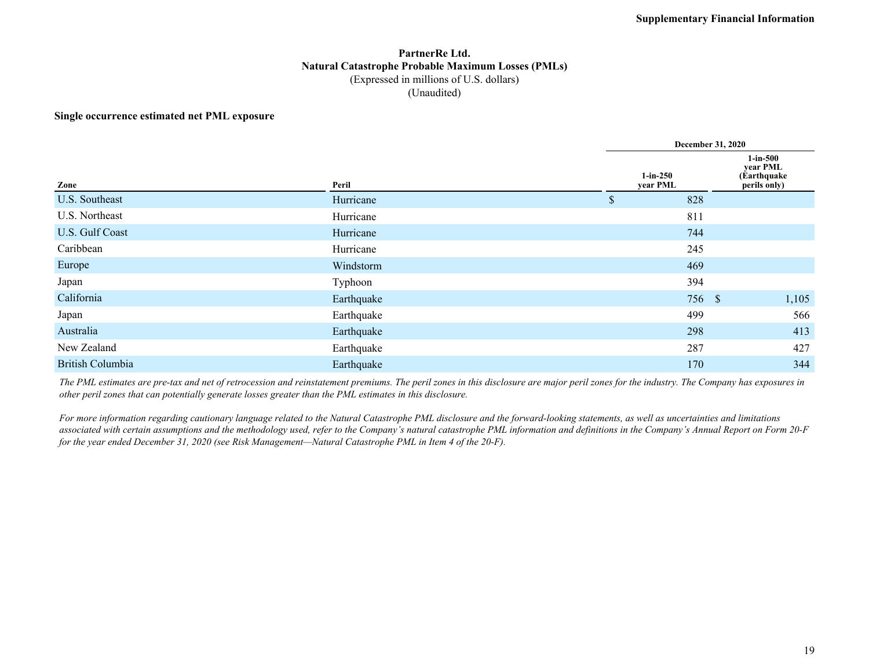#### **PartnerRe Ltd. Natural Catastrophe Probable Maximum Losses (PMLs)** (Expressed in millions of U.S. dollars) (Unaudited)

#### **Single occurrence estimated net PML exposure**

|                         |            |                        | <b>December 31, 2020</b>                               |  |  |  |  |  |  |  |
|-------------------------|------------|------------------------|--------------------------------------------------------|--|--|--|--|--|--|--|
| Zone                    | Peril      | $1-in-250$<br>year PML | $1-in-500$<br>year PML<br>(Earthquake)<br>perils only) |  |  |  |  |  |  |  |
| U.S. Southeast          | Hurricane  | 828<br>\$              |                                                        |  |  |  |  |  |  |  |
| U.S. Northeast          | Hurricane  | 811                    |                                                        |  |  |  |  |  |  |  |
| U.S. Gulf Coast         | Hurricane  | 744                    |                                                        |  |  |  |  |  |  |  |
| Caribbean               | Hurricane  | 245                    |                                                        |  |  |  |  |  |  |  |
| Europe                  | Windstorm  | 469                    |                                                        |  |  |  |  |  |  |  |
| Japan                   | Typhoon    | 394                    |                                                        |  |  |  |  |  |  |  |
| California              | Earthquake |                        | 1,105<br>756 \$                                        |  |  |  |  |  |  |  |
| Japan                   | Earthquake | 499                    | 566                                                    |  |  |  |  |  |  |  |
| Australia               | Earthquake | 298                    | 413                                                    |  |  |  |  |  |  |  |
| New Zealand             | Earthquake | 287                    | 427                                                    |  |  |  |  |  |  |  |
| <b>British Columbia</b> | Earthquake | 170                    | 344                                                    |  |  |  |  |  |  |  |

*The PML estimates are pre-tax and net of retrocession and reinstatement premiums. The peril zones in this disclosure are major peril zones for the industry. The Company has exposures in other peril zones that can potentially generate losses greater than the PML estimates in this disclosure.*

*For more information regarding cautionary language related to the Natural Catastrophe PML disclosure and the forward-looking statements, as well as uncertainties and limitations*  associated with certain assumptions and the methodology used, refer to the Company's natural catastrophe PML information and definitions in the Company's Annual Report on Form 20-F *for the year ended December 31, 2020 (see Risk Management—Natural Catastrophe PML in Item 4 of the 20-F).*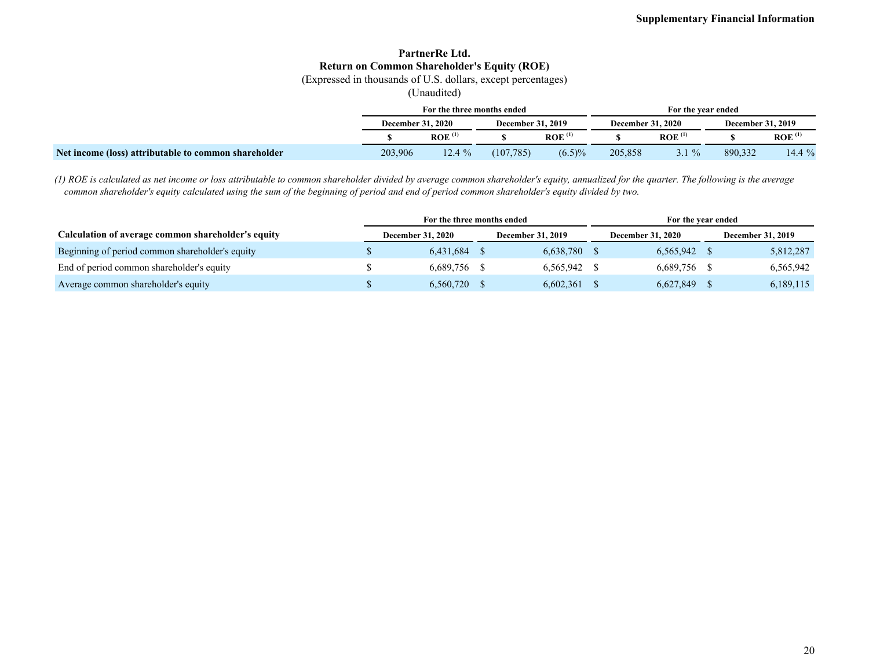### **PartnerRe Ltd. Return on Common Shareholder's Equity (ROE)**

(Expressed in thousands of U.S. dollars, except percentages)

(Unaudited)

|                                                      |         | For the three months ended |            |                          | For the vear ended |                          |                          |                      |  |  |
|------------------------------------------------------|---------|----------------------------|------------|--------------------------|--------------------|--------------------------|--------------------------|----------------------|--|--|
|                                                      |         | <b>December 31, 2020</b>   |            | <b>December 31, 2019</b> |                    | <b>December 31, 2020</b> | <b>December 31, 2019</b> |                      |  |  |
|                                                      |         | ROE <sup>(1)</sup>         |            | ROE <sup>(1)</sup>       |                    | ROE <sup>(1)</sup>       |                          | $ROE$ <sup>(1)</sup> |  |  |
| Net income (loss) attributable to common shareholder | 203,906 | 12.4%                      | (107, 785) | $(6.5)\%$                | 205,858            | $5.1\%$                  | 890,332                  | $14.4\%$             |  |  |

*(1) ROE is calculated as net income or loss attributable to common shareholder divided by average common shareholder's equity, annualized for the quarter. The following is the average common shareholder's equity calculated using the sum of the beginning of period and end of period common shareholder's equity divided by two.*

|                                                    | For the three months ended |                          |  |                          | For the year ended |                          |  |                          |  |  |
|----------------------------------------------------|----------------------------|--------------------------|--|--------------------------|--------------------|--------------------------|--|--------------------------|--|--|
| Calculation of average common shareholder's equity |                            | <b>December 31, 2020</b> |  | <b>December 31, 2019</b> |                    | <b>December 31, 2020</b> |  | <b>December 31, 2019</b> |  |  |
| Beginning of period common shareholder's equity    |                            | 6,431,684                |  | 6,638,780                |                    | 6,565,942 \$             |  | 5,812,287                |  |  |
| End of period common shareholder's equity          |                            | 6.689.756                |  | 6.565.942                |                    | 6,689,756 \$             |  | 6,565,942                |  |  |
| Average common shareholder's equity                |                            | 6,560,720                |  | 6,602,361                |                    | 6,627,849                |  | 6,189,115                |  |  |